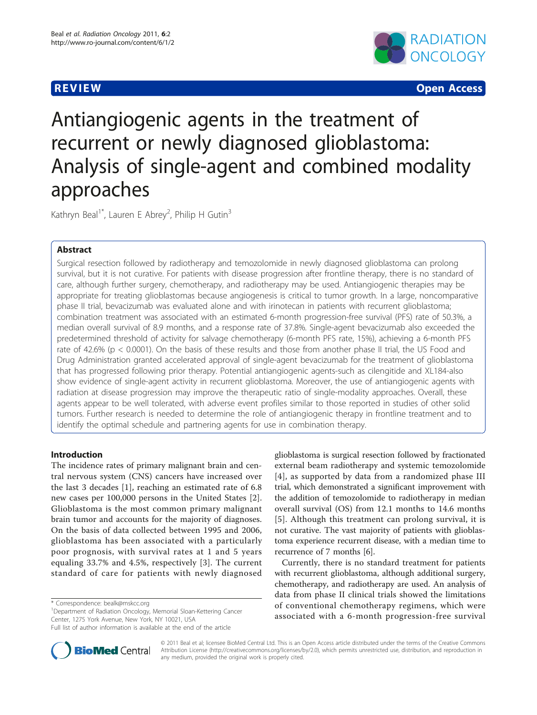

**REVIEW CONTROL** CONTROL CONTROL CONTROL CONTROL CONTROL CONTROL CONTROL CONTROL CONTROL CONTROL CONTROL CONTROL CONTROL CONTROL CONTROL CONTROL CONTROL CONTROL CONTROL CONTROL CONTROL CONTROL CONTROL CONTROL CONTROL CONTR

# Antiangiogenic agents in the treatment of recurrent or newly diagnosed glioblastoma: Analysis of single-agent and combined modality approaches

Kathryn Beal<sup>1\*</sup>, Lauren E Abrey<sup>2</sup>, Philip H Gutin<sup>3</sup>

# Abstract

Surgical resection followed by radiotherapy and temozolomide in newly diagnosed glioblastoma can prolong survival, but it is not curative. For patients with disease progression after frontline therapy, there is no standard of care, although further surgery, chemotherapy, and radiotherapy may be used. Antiangiogenic therapies may be appropriate for treating glioblastomas because angiogenesis is critical to tumor growth. In a large, noncomparative phase II trial, bevacizumab was evaluated alone and with irinotecan in patients with recurrent glioblastoma; combination treatment was associated with an estimated 6-month progression-free survival (PFS) rate of 50.3%, a median overall survival of 8.9 months, and a response rate of 37.8%. Single-agent bevacizumab also exceeded the predetermined threshold of activity for salvage chemotherapy (6-month PFS rate, 15%), achieving a 6-month PFS rate of 42.6% ( $p < 0.0001$ ). On the basis of these results and those from another phase II trial, the US Food and Drug Administration granted accelerated approval of single-agent bevacizumab for the treatment of glioblastoma that has progressed following prior therapy. Potential antiangiogenic agents-such as cilengitide and XL184-also show evidence of single-agent activity in recurrent glioblastoma. Moreover, the use of antiangiogenic agents with radiation at disease progression may improve the therapeutic ratio of single-modality approaches. Overall, these agents appear to be well tolerated, with adverse event profiles similar to those reported in studies of other solid tumors. Further research is needed to determine the role of antiangiogenic therapy in frontline treatment and to identify the optimal schedule and partnering agents for use in combination therapy.

# Introduction

The incidence rates of primary malignant brain and central nervous system (CNS) cancers have increased over the last 3 decades [\[1](#page-11-0)], reaching an estimated rate of 6.8 new cases per 100,000 persons in the United States [\[2](#page-11-0)]. Glioblastoma is the most common primary malignant brain tumor and accounts for the majority of diagnoses. On the basis of data collected between 1995 and 2006, glioblastoma has been associated with a particularly poor prognosis, with survival rates at 1 and 5 years equaling 33.7% and 4.5%, respectively [[3](#page-11-0)]. The current standard of care for patients with newly diagnosed

<sup>1</sup>Department of Radiation Oncology, Memorial Sloan-Kettering Cancer Center, 1275 York Avenue, New York, NY 10021, USA

glioblastoma is surgical resection followed by fractionated external beam radiotherapy and systemic temozolomide [[4](#page-11-0)], as supported by data from a randomized phase III trial, which demonstrated a significant improvement with the addition of temozolomide to radiotherapy in median overall survival (OS) from 12.1 months to 14.6 months [[5](#page-11-0)]. Although this treatment can prolong survival, it is not curative. The vast majority of patients with glioblastoma experience recurrent disease, with a median time to recurrence of 7 months [\[6\]](#page-11-0).

Currently, there is no standard treatment for patients with recurrent glioblastoma, although additional surgery, chemotherapy, and radiotherapy are used. An analysis of data from phase II clinical trials showed the limitations of conventional chemotherapy regimens, which were associated with a 6-month progression-free survival



© 2011 Beal et al; licensee BioMed Central Ltd. This is an Open Access article distributed under the terms of the Creative Commons Attribution License [\(http://creativecommons.org/licenses/by/2.0](http://creativecommons.org/licenses/by/2.0)), which permits unrestricted use, distribution, and reproduction in any medium, provided the original work is properly cited.

<sup>\*</sup> Correspondence: [bealk@mskcc.org](mailto:bealk@mskcc.org)

Full list of author information is available at the end of the article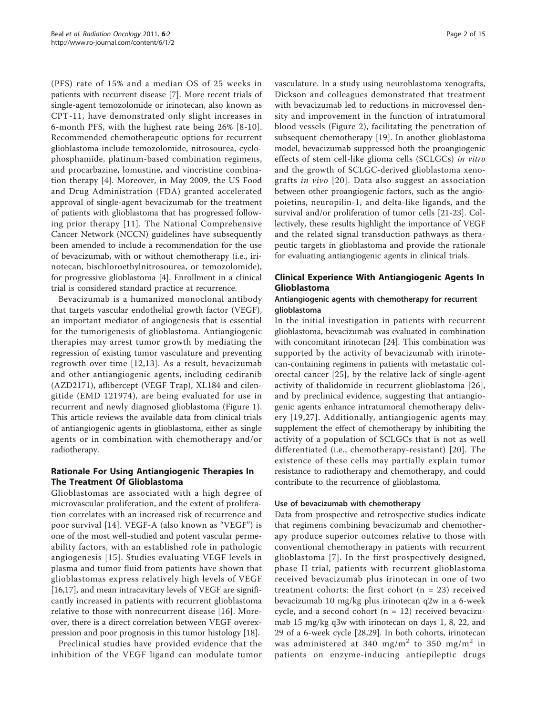(PFS) rate of 15% and a median OS of 25 weeks in patients with recurrent disease [[7\]](#page-11-0). More recent trials of single-agent temozolomide or irinotecan, also known as CPT-11, have demonstrated only slight increases in 6-month PFS, with the highest rate being 26% [[8-10\]](#page-11-0). Recommended chemotherapeutic options for recurrent glioblastoma include temozolomide, nitrosourea, cyclophosphamide, platinum-based combination regimens, and procarbazine, lomustine, and vincristine combination therapy [[4\]](#page-11-0). Moreover, in May 2009, the US Food and Drug Administration (FDA) granted accelerated approval of single-agent bevacizumab for the treatment of patients with glioblastoma that has progressed following prior therapy [[11\]](#page-11-0). The National Comprehensive Cancer Network (NCCN) guidelines have subsequently been amended to include a recommendation for the use of bevacizumab, with or without chemotherapy (i.e., irinotecan, bischloroethylnitrosourea, or temozolomide), for progressive glioblastoma [\[4](#page-11-0)]. Enrollment in a clinical trial is considered standard practice at recurrence.

Bevacizumab is a humanized monoclonal antibody that targets vascular endothelial growth factor (VEGF), an important mediator of angiogenesis that is essential for the tumorigenesis of glioblastoma. Antiangiogenic therapies may arrest tumor growth by mediating the regression of existing tumor vasculature and preventing regrowth over time [\[12,13\]](#page-11-0). As a result, bevacizumab and other antiangiogenic agents, including cediranib (AZD2171), aflibercept (VEGF Trap), XL184 and cilengitide (EMD 121974), are being evaluated for use in recurrent and newly diagnosed glioblastoma (Figure [1](#page-2-0)). This article reviews the available data from clinical trials of antiangiogenic agents in glioblastoma, either as single agents or in combination with chemotherapy and/or radiotherapy.

# Rationale For Using Antiangiogenic Therapies In The Treatment Of Glioblastoma

Glioblastomas are associated with a high degree of microvascular proliferation, and the extent of proliferation correlates with an increased risk of recurrence and poor survival [[14](#page-11-0)]. VEGF-A (also known as "VEGF") is one of the most well-studied and potent vascular permeability factors, with an established role in pathologic angiogenesis [[15\]](#page-11-0). Studies evaluating VEGF levels in plasma and tumor fluid from patients have shown that glioblastomas express relatively high levels of VEGF [[16,17\]](#page-11-0), and mean intracavitary levels of VEGF are significantly increased in patients with recurrent glioblastoma relative to those with nonrecurrent disease [[16](#page-11-0)]. Moreover, there is a direct correlation between VEGF overexpression and poor prognosis in this tumor histology [\[18\]](#page-11-0).

Preclinical studies have provided evidence that the inhibition of the VEGF ligand can modulate tumor vasculature. In a study using neuroblastoma xenografts, Dickson and colleagues demonstrated that treatment with bevacizumab led to reductions in microvessel density and improvement in the function of intratumoral blood vessels (Figure [2](#page-3-0)), facilitating the penetration of subsequent chemotherapy [[19\]](#page-11-0). In another glioblastoma model, bevacizumab suppressed both the proangiogenic effects of stem cell-like glioma cells (SCLGCs) in vitro and the growth of SCLGC-derived glioblastoma xenografts in vivo [[20](#page-11-0)]. Data also suggest an association between other proangiogenic factors, such as the angiopoietins, neuropilin-1, and delta-like ligands, and the survival and/or proliferation of tumor cells [[21-](#page-11-0)[23\]](#page-12-0). Collectively, these results highlight the importance of VEGF and the related signal transduction pathways as therapeutic targets in glioblastoma and provide the rationale for evaluating antiangiogenic agents in clinical trials.

# Clinical Experience With Antiangiogenic Agents In Glioblastoma

# Antiangiogenic agents with chemotherapy for recurrent glioblastoma

In the initial investigation in patients with recurrent glioblastoma, bevacizumab was evaluated in combination with concomitant irinotecan [[24](#page-12-0)]. This combination was supported by the activity of bevacizumab with irinotecan-containing regimens in patients with metastatic colorectal cancer [[25\]](#page-12-0), by the relative lack of single-agent activity of thalidomide in recurrent glioblastoma [[26\]](#page-12-0), and by preclinical evidence, suggesting that antiangiogenic agents enhance intratumoral chemotherapy delivery [[19](#page-11-0),[27](#page-12-0)]. Additionally, antiangiogenic agents may supplement the effect of chemotherapy by inhibiting the activity of a population of SCLGCs that is not as well differentiated (i.e., chemotherapy-resistant) [[20](#page-11-0)]. The existence of these cells may partially explain tumor resistance to radiotherapy and chemotherapy, and could contribute to the recurrence of glioblastoma.

# Use of bevacizumab with chemotherapy

Data from prospective and retrospective studies indicate that regimens combining bevacizumab and chemotherapy produce superior outcomes relative to those with conventional chemotherapy in patients with recurrent glioblastoma [[7](#page-11-0)]. In the first prospectively designed, phase II trial, patients with recurrent glioblastoma received bevacizumab plus irinotecan in one of two treatment cohorts: the first cohort ( $n = 23$ ) received bevacizumab 10 mg/kg plus irinotecan q2w in a 6-week cycle, and a second cohort  $(n = 12)$  received bevacizumab 15 mg/kg q3w with irinotecan on days 1, 8, 22, and 29 of a 6-week cycle [\[28,29](#page-12-0)]. In both cohorts, irinotecan was administered at 340 mg/m<sup>2</sup> to 350 mg/m<sup>2</sup> in patients on enzyme-inducing antiepileptic drugs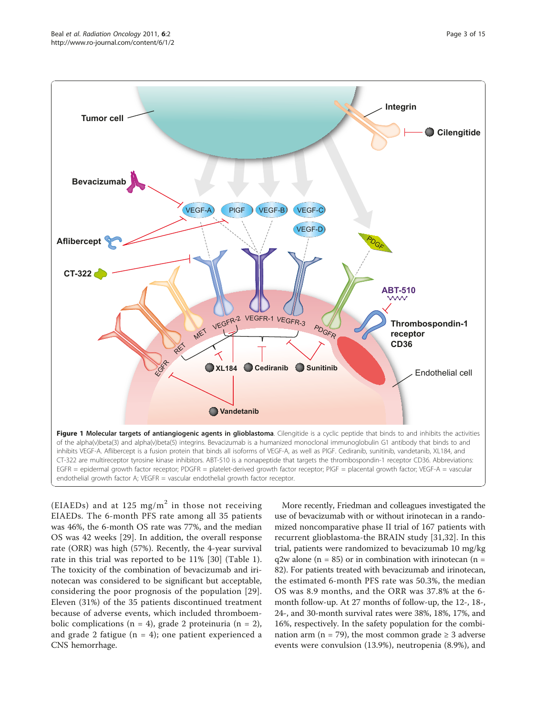<span id="page-2-0"></span>

(EIAEDs) and at 125 mg/m<sup>2</sup> in those not receiving EIAEDs. The 6-month PFS rate among all 35 patients was 46%, the 6-month OS rate was 77%, and the median OS was 42 weeks [[29\]](#page-12-0). In addition, the overall response rate (ORR) was high (57%). Recently, the 4-year survival rate in this trial was reported to be 11% [\[30](#page-12-0)] (Table [1](#page-4-0)). The toxicity of the combination of bevacizumab and irinotecan was considered to be significant but acceptable, considering the poor prognosis of the population [[29](#page-12-0)]. Eleven (31%) of the 35 patients discontinued treatment because of adverse events, which included thromboembolic complications ( $n = 4$ ), grade 2 proteinuria ( $n = 2$ ), and grade 2 fatigue ( $n = 4$ ); one patient experienced a CNS hemorrhage.

More recently, Friedman and colleagues investigated the use of bevacizumab with or without irinotecan in a randomized noncomparative phase II trial of 167 patients with recurrent glioblastoma-the BRAIN study [[31,32](#page-12-0)]. In this trial, patients were randomized to bevacizumab 10 mg/kg  $q2w$  alone (n = 85) or in combination with irinotecan (n = 82). For patients treated with bevacizumab and irinotecan, the estimated 6-month PFS rate was 50.3%, the median OS was 8.9 months, and the ORR was 37.8% at the 6 month follow-up. At 27 months of follow-up, the 12-, 18-, 24-, and 30-month survival rates were 38%, 18%, 17%, and 16%, respectively. In the safety population for the combination arm (n = 79), the most common grade  $\geq$  3 adverse events were convulsion (13.9%), neutropenia (8.9%), and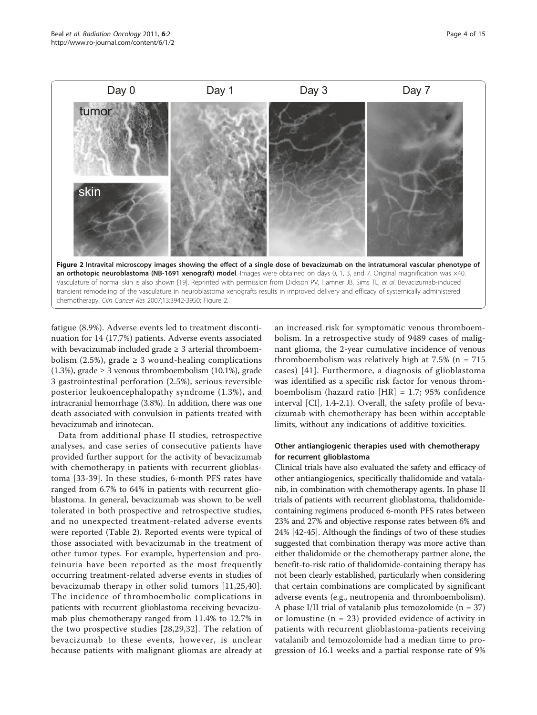<span id="page-3-0"></span>

fatigue (8.9%). Adverse events led to treatment discontinuation for 14 (17.7%) patients. Adverse events associated with bevacizumab included grade  $\geq$  3 arterial thromboembolism (2.5%), grade  $\geq$  3 wound-healing complications (1.3%), grade  $\geq$  3 venous thromboembolism (10.1%), grade 3 gastrointestinal perforation (2.5%), serious reversible posterior leukoencephalopathy syndrome (1.3%), and intracranial hemorrhage (3.8%). In addition, there was one death associated with convulsion in patients treated with bevacizumab and irinotecan.

Data from additional phase II studies, retrospective analyses, and case series of consecutive patients have provided further support for the activity of bevacizumab with chemotherapy in patients with recurrent glioblastoma [[33-39](#page-12-0)]. In these studies, 6-month PFS rates have ranged from 6.7% to 64% in patients with recurrent glioblastoma. In general, bevacizumab was shown to be well tolerated in both prospective and retrospective studies, and no unexpected treatment-related adverse events were reported (Table [2\)](#page-5-0). Reported events were typical of those associated with bevacizumab in the treatment of other tumor types. For example, hypertension and proteinuria have been reported as the most frequently occurring treatment-related adverse events in studies of bevacizumab therapy in other solid tumors [[11,](#page-11-0)[25](#page-12-0),[40\]](#page-12-0). The incidence of thromboembolic complications in patients with recurrent glioblastoma receiving bevacizumab plus chemotherapy ranged from 11.4% to 12.7% in the two prospective studies [\[28](#page-12-0),[29,32\]](#page-12-0). The relation of bevacizumab to these events, however, is unclear because patients with malignant gliomas are already at

an increased risk for symptomatic venous thromboembolism. In a retrospective study of 9489 cases of malignant glioma, the 2-year cumulative incidence of venous thromboembolism was relatively high at  $7.5\%$  (n =  $715$ ) cases) [[41](#page-12-0)]. Furthermore, a diagnosis of glioblastoma was identified as a specific risk factor for venous thromboembolism (hazard ratio [HR] = 1.7; 95% confidence interval [CI], 1.4-2.1). Overall, the safety profile of bevacizumab with chemotherapy has been within acceptable limits, without any indications of additive toxicities.

# Other antiangiogenic therapies used with chemotherapy for recurrent glioblastoma

Clinical trials have also evaluated the safety and efficacy of other antiangiogenics, specifically thalidomide and vatalanib, in combination with chemotherapy agents. In phase II trials of patients with recurrent glioblastoma, thalidomidecontaining regimens produced 6-month PFS rates between 23% and 27% and objective response rates between 6% and 24% [\[42-45\]](#page-12-0). Although the findings of two of these studies suggested that combination therapy was more active than either thalidomide or the chemotherapy partner alone, the benefit-to-risk ratio of thalidomide-containing therapy has not been clearly established, particularly when considering that certain combinations are complicated by significant adverse events (e.g., neutropenia and thromboembolism). A phase I/II trial of vatalanib plus temozolomide  $(n = 37)$ or lomustine  $(n = 23)$  provided evidence of activity in patients with recurrent glioblastoma-patients receiving vatalanib and temozolomide had a median time to progression of 16.1 weeks and a partial response rate of 9%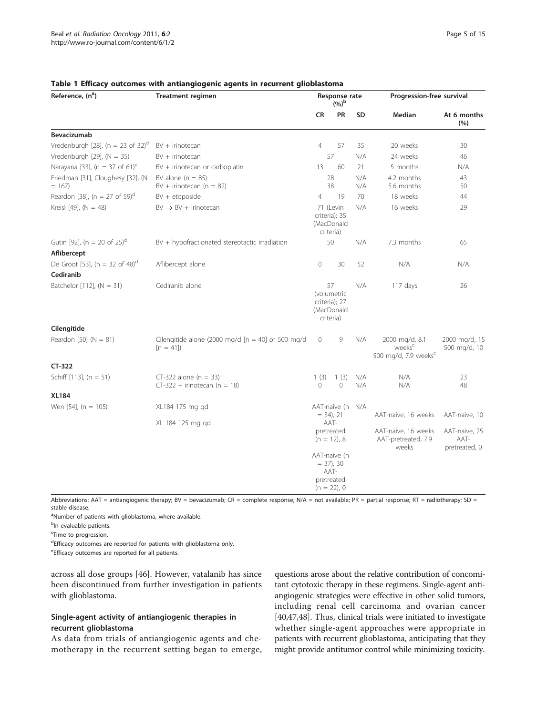| Reference, (n <sup>a</sup> )                  | <b>Treatment regimen</b>                                          | Response rate<br>$(%)^{\rm b}$                                                                                                                    |                                                       |            | Progression-free survival                                                |                                        |
|-----------------------------------------------|-------------------------------------------------------------------|---------------------------------------------------------------------------------------------------------------------------------------------------|-------------------------------------------------------|------------|--------------------------------------------------------------------------|----------------------------------------|
|                                               |                                                                   | <b>CR</b>                                                                                                                                         | PR                                                    | SD         | <b>Median</b>                                                            | At 6 months<br>(%)                     |
| Bevacizumab                                   |                                                                   |                                                                                                                                                   |                                                       |            |                                                                          |                                        |
| Vredenburgh [28], (n = 23 of 32) <sup>d</sup> | $BV + irinotecan$                                                 | $\overline{4}$                                                                                                                                    | 57                                                    | 35         | 20 weeks                                                                 | 30                                     |
| Vredenburgh [29], $(N = 35)$                  | $BV + irinotecan$                                                 |                                                                                                                                                   | 57                                                    | N/A        | 24 weeks                                                                 | 46                                     |
| Narayana [33], (n = 37 of 61) <sup>e</sup>    | BV + irinotecan or carboplatin                                    | 13                                                                                                                                                | 60                                                    | 21         | 5 months                                                                 | N/A                                    |
| Friedman [31], Cloughesy [32], (N<br>$= 167$  | BV alone $(n = 85)$<br>$BV + irinotecan (n = 82)$                 |                                                                                                                                                   | 28<br>38                                              | N/A<br>N/A | 4.2 months<br>5.6 months                                                 | 43<br>50                               |
| Reardon [38], (n = 27 of 59) <sup>d</sup>     | $BV + etoposide$                                                  | $\overline{4}$                                                                                                                                    | 19                                                    | 70         | 18 weeks                                                                 | 44                                     |
| Kreisl [49], $(N = 48)$                       | $BV \rightarrow BV +$ irinotecan                                  |                                                                                                                                                   | 71 (Levin<br>criteria); 35<br>(MacDonald<br>criteria) | N/A        | 16 weeks                                                                 | 29                                     |
| Gutin [92], (n = 20 of 25) <sup>d</sup>       | BV + hypofractionated stereotactic irradiation                    |                                                                                                                                                   | 50                                                    | N/A        | 7.3 months                                                               | 65                                     |
| Aflibercept                                   |                                                                   |                                                                                                                                                   |                                                       |            |                                                                          |                                        |
| De Groot [53], (n = 32 of 48) <sup>d</sup>    | Aflibercept alone                                                 | $\circ$                                                                                                                                           | 30                                                    | 52         | N/A                                                                      | N/A                                    |
| Cediranib                                     |                                                                   |                                                                                                                                                   |                                                       |            |                                                                          |                                        |
| Batchelor [112], $(N = 31)$                   | Cediranib alone                                                   | 57<br>(volumetric<br>criteria); 27<br>(MacDonald<br>criteria)                                                                                     |                                                       | N/A        | 117 days                                                                 | 26                                     |
| Cilengitide                                   |                                                                   |                                                                                                                                                   |                                                       |            |                                                                          |                                        |
| Reardon [50] $(N = 81)$                       | Cilengitide alone (2000 mg/d $[n = 40]$ or 500 mg/d<br>$[n = 41]$ | $\circ$                                                                                                                                           | 9                                                     | N/A        | 2000 mg/d, 8.1<br>weeks <sup>c</sup><br>500 mg/d, 7.9 weeks <sup>c</sup> | 2000 mg/d, 15<br>500 mg/d, 10          |
| CT-322                                        |                                                                   |                                                                                                                                                   |                                                       |            |                                                                          |                                        |
| Schiff [113], $(n = 51)$                      | $CT-322$ alone (n = 33)<br>$CT-322$ + irinotecan (n = 18)         | 1(3)<br>0                                                                                                                                         | 1(3)<br>$\circ$                                       | N/A<br>N/A | N/A<br>N/A                                                               | 23<br>48                               |
| <b>XL184</b>                                  |                                                                   |                                                                                                                                                   |                                                       |            |                                                                          |                                        |
| Wen [54], $(n = 105)$                         | XL184 175 mg gd                                                   | AAT-naive (n<br>N/A<br>$= 34$ , 21<br>AAT-<br>pretreated<br>$(n = 12)$ , 8<br>AAT-naive (n<br>$= 37$ , 30<br>AAT-<br>pretreated<br>$(n = 22)$ , 0 |                                                       |            |                                                                          |                                        |
|                                               |                                                                   |                                                                                                                                                   |                                                       |            | AAT-naive, 16 weeks                                                      | AAT-naive, 10                          |
|                                               | XL 184 125 mg gd                                                  |                                                                                                                                                   |                                                       |            | AAT-naive, 16 weeks<br>AAT-pretreated, 7.9<br>weeks                      | AAT-naive, 25<br>AAT-<br>pretreated, 0 |
|                                               |                                                                   |                                                                                                                                                   |                                                       |            |                                                                          |                                        |

# <span id="page-4-0"></span>Table 1 Efficacy outcomes with antiangiogenic agents in recurrent glioblastoma

Abbreviations: AAT = antiangiogenic therapy; BV = bevacizumab; CR = complete response; N/A = not available; PR = partial response; RT = radiotherapy; SD = stable disease.

<sup>a</sup>Number of patients with glioblastoma, where available.

<sup>b</sup>ln evaluable patients.

<sup>c</sup>Time to progression.

dEfficacy outcomes are reported for patients with glioblastoma only.

eEfficacy outcomes are reported for all patients.

across all dose groups [\[46](#page-12-0)]. However, vatalanib has since been discontinued from further investigation in patients with glioblastoma.

# Single-agent activity of antiangiogenic therapies in recurrent glioblastoma

As data from trials of antiangiogenic agents and chemotherapy in the recurrent setting began to emerge,

questions arose about the relative contribution of concomitant cytotoxic therapy in these regimens. Single-agent antiangiogenic strategies were effective in other solid tumors, including renal cell carcinoma and ovarian cancer [[40](#page-12-0),[47,48\]](#page-12-0). Thus, clinical trials were initiated to investigate whether single-agent approaches were appropriate in patients with recurrent glioblastoma, anticipating that they might provide antitumor control while minimizing toxicity.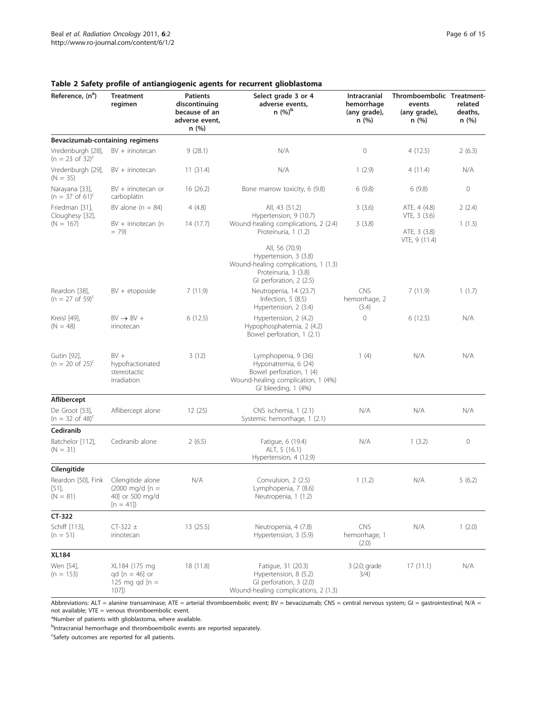Page 6 of 15

| Reference, (n <sup>a</sup> )                     | <b>Treatment</b><br>regimen                                                       | <b>Patients</b><br>discontinuing<br>because of an<br>adverse event,<br>n(%) | Select grade 3 or 4<br>adverse events,<br>$n (%)^b$                                                                                  | Intracranial<br>hemorrhage<br>(any grade),<br>n (%) | Thromboembolic Treatment-<br>events<br>(any grade),<br>n (%) | related<br>deaths,<br>n(%) |
|--------------------------------------------------|-----------------------------------------------------------------------------------|-----------------------------------------------------------------------------|--------------------------------------------------------------------------------------------------------------------------------------|-----------------------------------------------------|--------------------------------------------------------------|----------------------------|
| Bevacizumab-containing regimens                  |                                                                                   |                                                                             |                                                                                                                                      |                                                     |                                                              |                            |
| Vredenburgh [28],<br>$(n = 23 \text{ of } 32)^c$ | BV + irinotecan                                                                   | 9(28.1)                                                                     | N/A                                                                                                                                  | 0                                                   | 4(12.5)                                                      | 2(6.3)                     |
| Vredenburgh [29],<br>$(N = 35)$                  | $BV + irinotecan$                                                                 | 11(31.4)                                                                    | N/A                                                                                                                                  | 1(2.9)                                              | 4(11.4)                                                      | N/A                        |
| Narayana [33],<br>$(n = 37 \text{ of } 61)^c$    | BV + irinotecan or<br>carboplatin                                                 | 16(26.2)                                                                    | Bone marrow toxicity, 6 (9.8)                                                                                                        | 6(9.8)                                              | 6(9.8)                                                       | 0                          |
| Friedman [31],<br>Cloughesy [32],<br>$(N = 167)$ | BV alone $(n = 84)$                                                               | 4(4.8)<br>14 (17.7)                                                         | All, 43 (51.2)<br>Hypertension, 9 (10.7)                                                                                             | 3(3.6)                                              | ATE, 4 (4.8)<br>VTE, 3 (3.6)                                 | 2(2.4)<br>1(1.3)           |
|                                                  | BV + irinotecan (n<br>$= 79$                                                      |                                                                             | Wound-healing complications, 2 (2.4)<br>Proteinuria, 1 (1.2)                                                                         | 3(3.8)                                              | ATE, 3 (3.8)<br>VTE, 9 (11.4)                                |                            |
|                                                  |                                                                                   |                                                                             | All, 56 (70.9)<br>Hypertension, 3 (3.8)<br>Wound-healing complications, 1 (1.3)<br>Proteinuria, 3 (3.8)<br>GI perforation, 2 (2.5)   |                                                     |                                                              |                            |
| Reardon [38],<br>$(n = 27 \text{ of } 59)^c$     | $BV + etoposide$                                                                  | 7(11.9)                                                                     | Neutropenia, 14 (23.7)<br>Infection, $5(8.5)$<br>Hypertension, 2 (3.4)                                                               | <b>CNS</b><br>hemorrhage, 2<br>(3.4)                | 7(11.9)                                                      | 1(1.7)                     |
| Kreisl [49],<br>$(N = 48)$                       | $BV \rightarrow BV +$<br>irinotecan                                               | 6(12.5)                                                                     | Hypertension, 2 (4.2)<br>Hypophosphatemia, 2 (4.2)<br>Bowel perforation, 1 (2.1)                                                     | $\overline{0}$                                      | 6(12.5)                                                      | N/A                        |
| Gutin [92],<br>$(n = 20 \text{ of } 25)^c$       | $BV +$<br>hypofractionated<br>stereotactic<br>irradiation                         | 3(12)                                                                       | Lymphopenia, 9 (36)<br>Hyponatremia, 6 (24)<br>Bowel perforation, 1 (4)<br>Wound-healing complication, 1 (4%)<br>GI bleeding, 1 (4%) | 1(4)                                                | N/A                                                          | N/A                        |
| Aflibercept                                      |                                                                                   |                                                                             |                                                                                                                                      |                                                     |                                                              |                            |
| De Groot [53],<br>$(n = 32 \text{ of } 48)^c$    | Aflibercept alone                                                                 | 12(25)                                                                      | CNS ischemia, 1 (2.1)<br>Systemic hemorrhage, 1 (2.1)                                                                                | N/A                                                 | N/A                                                          | N/A                        |
| Cediranib                                        |                                                                                   |                                                                             |                                                                                                                                      |                                                     |                                                              |                            |
| Batchelor [112],<br>$(N = 31)$                   | Cediranib alone                                                                   | 2(6.5)                                                                      | Fatigue, 6 (19.4)<br>ALT, 5 (16.1)<br>Hypertension, 4 (12.9)                                                                         | N/A                                                 | 1(3.2)                                                       | 0                          |
| Cilengitide                                      |                                                                                   |                                                                             |                                                                                                                                      |                                                     |                                                              |                            |
| Reardon [50], Fink<br>[51]<br>$(N = 81)$         | Cilengitide alone<br>$(2000 \text{ mg/d} \ln 1)$<br>40] or 500 mg/d<br>$[n = 41]$ | N/A                                                                         | Convulsion, 2 (2.5)<br>Lymphopenia, 7 (8.6)<br>Neutropenia, 1 (1.2)                                                                  | 1(1.2)                                              | N/A                                                          | 5(6.2)                     |
| CT-322                                           |                                                                                   |                                                                             |                                                                                                                                      |                                                     |                                                              |                            |
| Schiff [113],<br>$(n = 51)$                      | $CT-322 \pm$<br>irinotecan                                                        | 13(25.5)                                                                    | Neutropenia, 4 (7.8)<br>Hypertension, 3 (5.9)                                                                                        | <b>CNS</b><br>hemorrhage, 1<br>(2.0)                | N/A                                                          | 1(2.0)                     |
| <b>XL184</b>                                     |                                                                                   |                                                                             |                                                                                                                                      |                                                     |                                                              |                            |
| Wen [54],<br>$(n = 153)$                         | XL184 (175 mg<br>$qd [n = 46]$ or<br>125 mg qd $[n =$<br>107]                     | 18 (11.8)                                                                   | Fatique, 31 (20.3)<br>Hypertension, 8 (5.2)<br>GI perforation, 3 (2.0)<br>Wound-healing complications, 2 (1.3)                       | 3 (2.0; grade<br>3/4)                               | 17(11.1)                                                     | N/A                        |

# <span id="page-5-0"></span>Table 2 Safety profile of antiangiogenic agents for recurrent glioblastoma

Abbreviations: ALT = alanine transaminase; ATE = arterial thromboembolic event; BV = bevacizumab; CNS = central nervous system; GI = gastrointestinal; N/A = not available; VTE = venous thromboembolic event.

<sup>a</sup>Number of patients with glioblastoma, where available.

<sup>b</sup>Intracranial hemorrhage and thromboembolic events are reported separately.

<sup>c</sup>Safety outcomes are reported for all patients.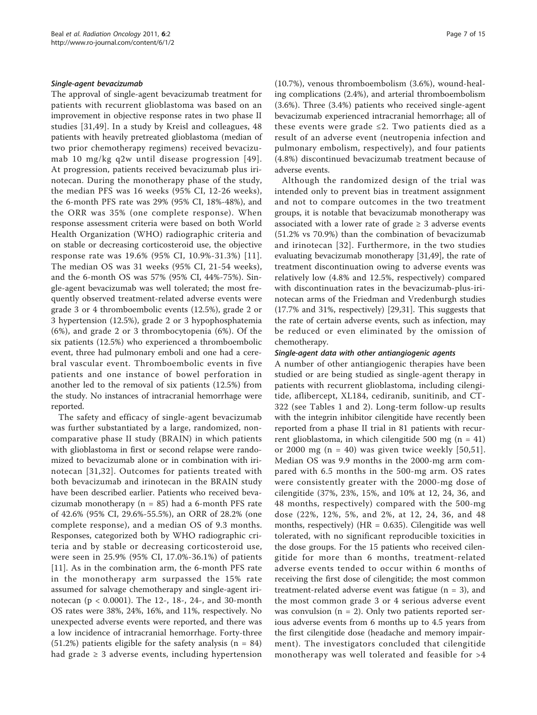# Single-agent bevacizumab

The approval of single-agent bevacizumab treatment for patients with recurrent glioblastoma was based on an improvement in objective response rates in two phase II studies [[31,49](#page-12-0)]. In a study by Kreisl and colleagues, 48 patients with heavily pretreated glioblastoma (median of two prior chemotherapy regimens) received bevacizumab 10 mg/kg q2w until disease progression [[49\]](#page-12-0). At progression, patients received bevacizumab plus irinotecan. During the monotherapy phase of the study, the median PFS was 16 weeks (95% CI, 12-26 weeks), the 6-month PFS rate was 29% (95% CI, 18%-48%), and the ORR was 35% (one complete response). When response assessment criteria were based on both World Health Organization (WHO) radiographic criteria and on stable or decreasing corticosteroid use, the objective response rate was 19.6% (95% CI, 10.9%-31.3%) [[11\]](#page-11-0). The median OS was 31 weeks (95% CI, 21-54 weeks), and the 6-month OS was 57% (95% CI, 44%-75%). Single-agent bevacizumab was well tolerated; the most frequently observed treatment-related adverse events were grade 3 or 4 thromboembolic events (12.5%), grade 2 or 3 hypertension (12.5%), grade 2 or 3 hypophosphatemia (6%), and grade 2 or 3 thrombocytopenia (6%). Of the six patients (12.5%) who experienced a thromboembolic event, three had pulmonary emboli and one had a cerebral vascular event. Thromboembolic events in five patients and one instance of bowel perforation in another led to the removal of six patients (12.5%) from the study. No instances of intracranial hemorrhage were reported.

The safety and efficacy of single-agent bevacizumab was further substantiated by a large, randomized, noncomparative phase II study (BRAIN) in which patients with glioblastoma in first or second relapse were randomized to bevacizumab alone or in combination with irinotecan [[31,32\]](#page-12-0). Outcomes for patients treated with both bevacizumab and irinotecan in the BRAIN study have been described earlier. Patients who received bevacizumab monotherapy ( $n = 85$ ) had a 6-month PFS rate of 42.6% (95% CI, 29.6%-55.5%), an ORR of 28.2% (one complete response), and a median OS of 9.3 months. Responses, categorized both by WHO radiographic criteria and by stable or decreasing corticosteroid use, were seen in 25.9% (95% CI, 17.0%-36.1%) of patients [[11\]](#page-11-0). As in the combination arm, the 6-month PFS rate in the monotherapy arm surpassed the 15% rate assumed for salvage chemotherapy and single-agent irinotecan (p < 0.0001). The 12-, 18-, 24-, and 30-month OS rates were 38%, 24%, 16%, and 11%, respectively. No unexpected adverse events were reported, and there was a low incidence of intracranial hemorrhage. Forty-three  $(51.2%)$  patients eligible for the safety analysis  $(n = 84)$ had grade  $\geq 3$  adverse events, including hypertension (10.7%), venous thromboembolism (3.6%), wound-healing complications (2.4%), and arterial thromboembolism (3.6%). Three (3.4%) patients who received single-agent bevacizumab experienced intracranial hemorrhage; all of these events were grade ≤2. Two patients died as a result of an adverse event (neutropenia infection and pulmonary embolism, respectively), and four patients (4.8%) discontinued bevacizumab treatment because of adverse events.

Although the randomized design of the trial was intended only to prevent bias in treatment assignment and not to compare outcomes in the two treatment groups, it is notable that bevacizumab monotherapy was associated with a lower rate of grade  $\geq 3$  adverse events (51.2% vs 70.9%) than the combination of bevacizumab and irinotecan [[32\]](#page-12-0). Furthermore, in the two studies evaluating bevacizumab monotherapy [\[31,49](#page-12-0)], the rate of treatment discontinuation owing to adverse events was relatively low (4.8% and 12.5%, respectively) compared with discontinuation rates in the bevacizumab-plus-irinotecan arms of the Friedman and Vredenburgh studies (17.7% and 31%, respectively) [\[29,31](#page-12-0)]. This suggests that the rate of certain adverse events, such as infection, may be reduced or even eliminated by the omission of chemotherapy.

# Single-agent data with other antiangiogenic agents

A number of other antiangiogenic therapies have been studied or are being studied as single-agent therapy in patients with recurrent glioblastoma, including cilengitide, aflibercept, XL184, cediranib, sunitinib, and CT-322 (see Tables [1](#page-4-0) and [2\)](#page-5-0). Long-term follow-up results with the integrin inhibitor cilengitide have recently been reported from a phase II trial in 81 patients with recurrent glioblastoma, in which cilengitide 500 mg ( $n = 41$ ) or 2000 mg ( $n = 40$ ) was given twice weekly [\[50,51\]](#page-12-0). Median OS was 9.9 months in the 2000-mg arm compared with 6.5 months in the 500-mg arm. OS rates were consistently greater with the 2000-mg dose of cilengitide (37%, 23%, 15%, and 10% at 12, 24, 36, and 48 months, respectively) compared with the 500-mg dose (22%, 12%, 5%, and 2%, at 12, 24, 36, and 48 months, respectively) ( $HR = 0.635$ ). Cilengitide was well tolerated, with no significant reproducible toxicities in the dose groups. For the 15 patients who received cilengitide for more than 6 months, treatment-related adverse events tended to occur within 6 months of receiving the first dose of cilengitide; the most common treatment-related adverse event was fatigue  $(n = 3)$ , and the most common grade 3 or 4 serious adverse event was convulsion ( $n = 2$ ). Only two patients reported serious adverse events from 6 months up to 4.5 years from the first cilengitide dose (headache and memory impairment). The investigators concluded that cilengitide monotherapy was well tolerated and feasible for  $>4$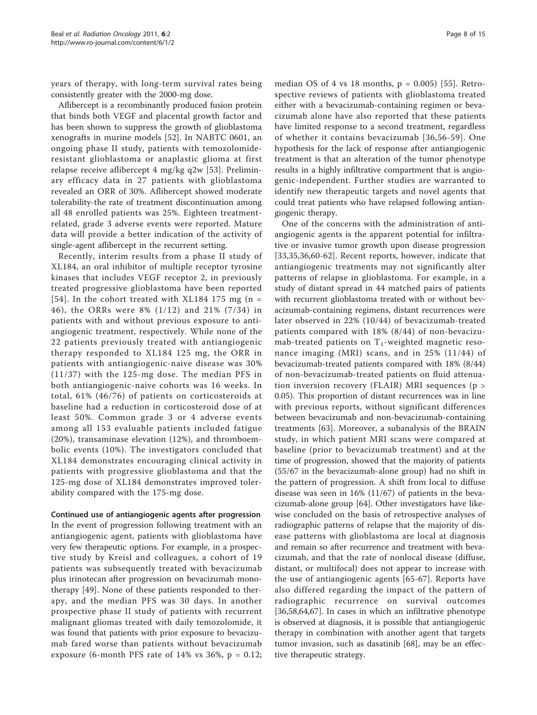years of therapy, with long-term survival rates being consistently greater with the 2000-mg dose.

Aflibercept is a recombinantly produced fusion protein that binds both VEGF and placental growth factor and has been shown to suppress the growth of glioblastoma xenografts in murine models [[52\]](#page-12-0). In NABTC 0601, an ongoing phase II study, patients with temozolomideresistant glioblastoma or anaplastic glioma at first relapse receive aflibercept 4 mg/kg q2w [[53](#page-12-0)]. Preliminary efficacy data in 27 patients with glioblastoma revealed an ORR of 30%. Aflibercept showed moderate tolerability-the rate of treatment discontinuation among all 48 enrolled patients was 25%. Eighteen treatmentrelated, grade 3 adverse events were reported. Mature data will provide a better indication of the activity of single-agent aflibercept in the recurrent setting.

Recently, interim results from a phase II study of XL184, an oral inhibitor of multiple receptor tyrosine kinases that includes VEGF receptor 2, in previously treated progressive glioblastoma have been reported [[54\]](#page-12-0). In the cohort treated with XL184 175 mg ( $n =$ 46), the ORRs were 8% (1/12) and 21% (7/34) in patients with and without previous exposure to antiangiogenic treatment, respectively. While none of the 22 patients previously treated with antiangiogenic therapy responded to XL184 125 mg, the ORR in patients with antiangiogenic-naive disease was 30% (11/37) with the 125-mg dose. The median PFS in both antiangiogenic-naive cohorts was 16 weeks. In total, 61% (46/76) of patients on corticosteroids at baseline had a reduction in corticosteroid dose of at least 50%. Common grade 3 or 4 adverse events among all 153 evaluable patients included fatigue (20%), transaminase elevation (12%), and thromboembolic events (10%). The investigators concluded that XL184 demonstrates encouraging clinical activity in patients with progressive glioblastoma and that the 125-mg dose of XL184 demonstrates improved tolerability compared with the 175-mg dose.

# Continued use of antiangiogenic agents after progression

In the event of progression following treatment with an antiangiogenic agent, patients with glioblastoma have very few therapeutic options. For example, in a prospective study by Kreisl and colleagues, a cohort of 19 patients was subsequently treated with bevacizumab plus irinotecan after progression on bevacizumab monotherapy [\[49](#page-12-0)]. None of these patients responded to therapy, and the median PFS was 30 days. In another prospective phase II study of patients with recurrent malignant gliomas treated with daily temozolomide, it was found that patients with prior exposure to bevacizumab fared worse than patients without bevacizumab exposure (6-month PFS rate of  $14\%$  vs  $36\%$ ,  $p = 0.12$ ;

median OS of  $4$  vs 18 months,  $p = 0.005$  [[55](#page-12-0)]. Retrospective reviews of patients with glioblastoma treated either with a bevacizumab-containing regimen or bevacizumab alone have also reported that these patients have limited response to a second treatment, regardless of whether it contains bevacizumab [[36,56-](#page-12-0)[59\]](#page-13-0). One hypothesis for the lack of response after antiangiogenic treatment is that an alteration of the tumor phenotype results in a highly infiltrative compartment that is angiogenic-independent. Further studies are warranted to identify new therapeutic targets and novel agents that could treat patients who have relapsed following antiangiogenic therapy.

One of the concerns with the administration of antiangiogenic agents is the apparent potential for infiltrative or invasive tumor growth upon disease progression [[33,35](#page-12-0),[36,](#page-12-0)[60-62\]](#page-13-0). Recent reports, however, indicate that antiangiogenic treatments may not significantly alter patterns of relapse in glioblastoma. For example, in a study of distant spread in 44 matched pairs of patients with recurrent glioblastoma treated with or without bevacizumab-containing regimens, distant recurrences were later observed in 22% (10/44) of bevacizumab-treated patients compared with 18% (8/44) of non-bevacizumab-treated patients on  $T_1$ -weighted magnetic resonance imaging (MRI) scans, and in 25% (11/44) of bevacizumab-treated patients compared with 18% (8/44) of non-bevacizumab-treated patients on fluid attenuation inversion recovery (FLAIR) MRI sequences (p > 0.05). This proportion of distant recurrences was in line with previous reports, without significant differences between bevacizumab and non-bevacizumab-containing treatments [\[63](#page-13-0)]. Moreover, a subanalysis of the BRAIN study, in which patient MRI scans were compared at baseline (prior to bevacizumab treatment) and at the time of progression, showed that the majority of patients (55/67 in the bevacizumab-alone group) had no shift in the pattern of progression. A shift from local to diffuse disease was seen in 16% (11/67) of patients in the bevacizumab-alone group [\[64\]](#page-13-0). Other investigators have likewise concluded on the basis of retrospective analyses of radiographic patterns of relapse that the majority of disease patterns with glioblastoma are local at diagnosis and remain so after recurrence and treatment with bevacizumab, and that the rate of nonlocal disease (diffuse, distant, or multifocal) does not appear to increase with the use of antiangiogenic agents [[65](#page-13-0)-[67](#page-13-0)]. Reports have also differed regarding the impact of the pattern of radiographic recurrence on survival outcomes [[36,](#page-12-0)[58,64,67\]](#page-13-0). In cases in which an infiltrative phenotype is observed at diagnosis, it is possible that antiangiogenic therapy in combination with another agent that targets tumor invasion, such as dasatinib [[68\]](#page-13-0), may be an effective therapeutic strategy.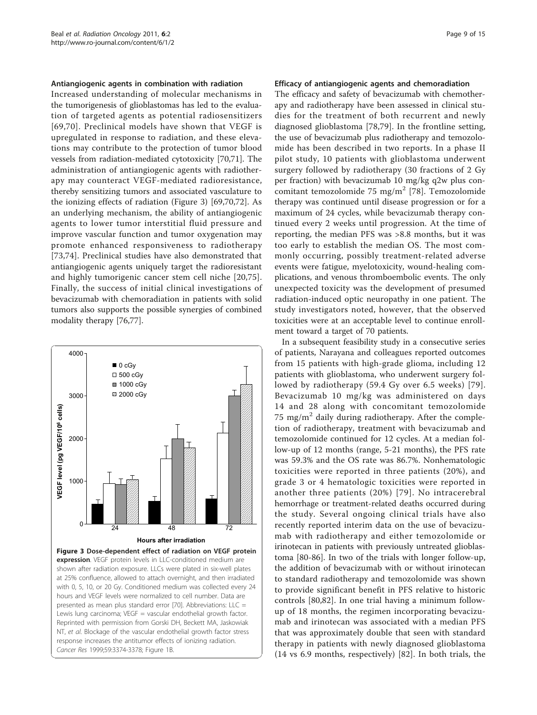#### Antiangiogenic agents in combination with radiation

Increased understanding of molecular mechanisms in the tumorigenesis of glioblastomas has led to the evaluation of targeted agents as potential radiosensitizers [[69,70\]](#page-13-0). Preclinical models have shown that VEGF is upregulated in response to radiation, and these elevations may contribute to the protection of tumor blood vessels from radiation-mediated cytotoxicity [\[70,71\]](#page-13-0). The administration of antiangiogenic agents with radiotherapy may counteract VEGF-mediated radioresistance, thereby sensitizing tumors and associated vasculature to the ionizing effects of radiation (Figure 3) [\[69,70,72](#page-13-0)]. As an underlying mechanism, the ability of antiangiogenic agents to lower tumor interstitial fluid pressure and improve vascular function and tumor oxygenation may promote enhanced responsiveness to radiotherapy [[73,74](#page-13-0)]. Preclinical studies have also demonstrated that antiangiogenic agents uniquely target the radioresistant and highly tumorigenic cancer stem cell niche [\[20,](#page-11-0)[75](#page-13-0)]. Finally, the success of initial clinical investigations of bevacizumab with chemoradiation in patients with solid tumors also supports the possible synergies of combined modality therapy [\[76,77\]](#page-13-0).



### Efficacy of antiangiogenic agents and chemoradiation

The efficacy and safety of bevacizumab with chemotherapy and radiotherapy have been assessed in clinical studies for the treatment of both recurrent and newly diagnosed glioblastoma [[78,79](#page-13-0)]. In the frontline setting, the use of bevacizumab plus radiotherapy and temozolomide has been described in two reports. In a phase II pilot study, 10 patients with glioblastoma underwent surgery followed by radiotherapy (30 fractions of 2 Gy per fraction) with bevacizumab 10 mg/kg q2w plus con-comitant temozolomide 75 mg/m<sup>2</sup> [[78\]](#page-13-0). Temozolomide therapy was continued until disease progression or for a maximum of 24 cycles, while bevacizumab therapy continued every 2 weeks until progression. At the time of reporting, the median PFS was >8.8 months, but it was too early to establish the median OS. The most commonly occurring, possibly treatment-related adverse events were fatigue, myelotoxicity, wound-healing complications, and venous thromboembolic events. The only unexpected toxicity was the development of presumed radiation-induced optic neuropathy in one patient. The study investigators noted, however, that the observed toxicities were at an acceptable level to continue enrollment toward a target of 70 patients.

In a subsequent feasibility study in a consecutive series of patients, Narayana and colleagues reported outcomes from 15 patients with high-grade glioma, including 12 patients with glioblastoma, who underwent surgery followed by radiotherapy (59.4 Gy over 6.5 weeks) [[79\]](#page-13-0). Bevacizumab 10 mg/kg was administered on days 14 and 28 along with concomitant temozolomide 75 mg/m<sup>2</sup> daily during radiotherapy. After the completion of radiotherapy, treatment with bevacizumab and temozolomide continued for 12 cycles. At a median follow-up of 12 months (range, 5-21 months), the PFS rate was 59.3% and the OS rate was 86.7%. Nonhematologic toxicities were reported in three patients (20%), and grade 3 or 4 hematologic toxicities were reported in another three patients (20%) [[79\]](#page-13-0). No intracerebral hemorrhage or treatment-related deaths occurred during the study. Several ongoing clinical trials have also recently reported interim data on the use of bevacizumab with radiotherapy and either temozolomide or irinotecan in patients with previously untreated glioblastoma [\[80](#page-13-0)-[86\]](#page-13-0). In two of the trials with longer follow-up, the addition of bevacizumab with or without irinotecan to standard radiotherapy and temozolomide was shown to provide significant benefit in PFS relative to historic controls [\[80,82](#page-13-0)]. In one trial having a minimum followup of 18 months, the regimen incorporating bevacizumab and irinotecan was associated with a median PFS that was approximately double that seen with standard therapy in patients with newly diagnosed glioblastoma (14 vs 6.9 months, respectively) [[82](#page-13-0)]. In both trials, the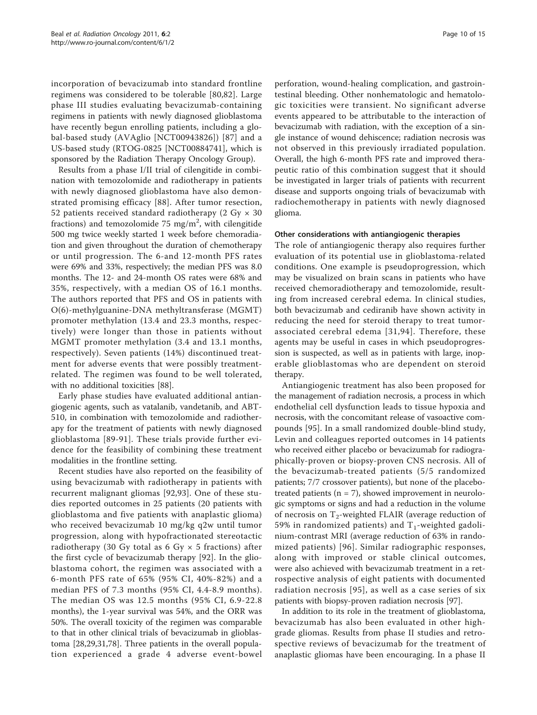incorporation of bevacizumab into standard frontline regimens was considered to be tolerable [[80,82](#page-13-0)]. Large phase III studies evaluating bevacizumab-containing regimens in patients with newly diagnosed glioblastoma have recently begun enrolling patients, including a global-based study (AVAglio [NCT00943826]) [[87](#page-13-0)] and a US-based study (RTOG-0825 [NCT00884741], which is sponsored by the Radiation Therapy Oncology Group).

Results from a phase I/II trial of cilengitide in combination with temozolomide and radiotherapy in patients with newly diagnosed glioblastoma have also demonstrated promising efficacy [[88\]](#page-14-0). After tumor resection, 52 patients received standard radiotherapy (2 Gy  $\times$  30 fractions) and temozolomide 75 mg/m<sup>2</sup>, with cilengitide 500 mg twice weekly started 1 week before chemoradiation and given throughout the duration of chemotherapy or until progression. The 6-and 12-month PFS rates were 69% and 33%, respectively; the median PFS was 8.0 months. The 12- and 24-month OS rates were 68% and 35%, respectively, with a median OS of 16.1 months. The authors reported that PFS and OS in patients with O(6)-methylguanine-DNA methyltransferase (MGMT) promoter methylation (13.4 and 23.3 months, respectively) were longer than those in patients without MGMT promoter methylation (3.4 and 13.1 months, respectively). Seven patients (14%) discontinued treatment for adverse events that were possibly treatmentrelated. The regimen was found to be well tolerated, with no additional toxicities [[88\]](#page-14-0).

Early phase studies have evaluated additional antiangiogenic agents, such as vatalanib, vandetanib, and ABT-510, in combination with temozolomide and radiotherapy for the treatment of patients with newly diagnosed glioblastoma [[89](#page-14-0)-[91](#page-14-0)]. These trials provide further evidence for the feasibility of combining these treatment modalities in the frontline setting.

Recent studies have also reported on the feasibility of using bevacizumab with radiotherapy in patients with recurrent malignant gliomas [\[92](#page-14-0),[93\]](#page-14-0). One of these studies reported outcomes in 25 patients (20 patients with glioblastoma and five patients with anaplastic glioma) who received bevacizumab 10 mg/kg q2w until tumor progression, along with hypofractionated stereotactic radiotherapy (30 Gy total as 6 Gy  $\times$  5 fractions) after the first cycle of bevacizumab therapy [[92\]](#page-14-0). In the glioblastoma cohort, the regimen was associated with a 6-month PFS rate of 65% (95% CI, 40%-82%) and a median PFS of 7.3 months (95% CI, 4.4-8.9 months). The median OS was 12.5 months (95% CI, 6.9-22.8 months), the 1-year survival was 54%, and the ORR was 50%. The overall toxicity of the regimen was comparable to that in other clinical trials of bevacizumab in glioblastoma [[28,29,31,](#page-12-0)[78\]](#page-13-0). Three patients in the overall population experienced a grade 4 adverse event-bowel

perforation, wound-healing complication, and gastrointestinal bleeding. Other nonhematologic and hematologic toxicities were transient. No significant adverse events appeared to be attributable to the interaction of bevacizumab with radiation, with the exception of a single instance of wound dehiscence; radiation necrosis was not observed in this previously irradiated population. Overall, the high 6-month PFS rate and improved therapeutic ratio of this combination suggest that it should be investigated in larger trials of patients with recurrent disease and supports ongoing trials of bevacizumab with radiochemotherapy in patients with newly diagnosed glioma.

### Other considerations with antiangiogenic therapies

The role of antiangiogenic therapy also requires further evaluation of its potential use in glioblastoma-related conditions. One example is pseudoprogression, which may be visualized on brain scans in patients who have received chemoradiotherapy and temozolomide, resulting from increased cerebral edema. In clinical studies, both bevacizumab and cediranib have shown activity in reducing the need for steroid therapy to treat tumorassociated cerebral edema [[31](#page-12-0),[94\]](#page-14-0). Therefore, these agents may be useful in cases in which pseudoprogression is suspected, as well as in patients with large, inoperable glioblastomas who are dependent on steroid therapy.

Antiangiogenic treatment has also been proposed for the management of radiation necrosis, a process in which endothelial cell dysfunction leads to tissue hypoxia and necrosis, with the concomitant release of vasoactive compounds [[95\]](#page-14-0). In a small randomized double-blind study, Levin and colleagues reported outcomes in 14 patients who received either placebo or bevacizumab for radiographically-proven or biopsy-proven CNS necrosis. All of the bevacizumab-treated patients (5/5 randomized patients; 7/7 crossover patients), but none of the placebotreated patients ( $n = 7$ ), showed improvement in neurologic symptoms or signs and had a reduction in the volume of necrosis on  $T_2$ -weighted FLAIR (average reduction of 59% in randomized patients) and  $T_1$ -weighted gadolinium-contrast MRI (average reduction of 63% in randomized patients) [[96](#page-14-0)]. Similar radiographic responses, along with improved or stable clinical outcomes, were also achieved with bevacizumab treatment in a retrospective analysis of eight patients with documented radiation necrosis [[95\]](#page-14-0), as well as a case series of six patients with biopsy-proven radiation necrosis [\[97](#page-14-0)].

In addition to its role in the treatment of glioblastoma, bevacizumab has also been evaluated in other highgrade gliomas. Results from phase II studies and retrospective reviews of bevacizumab for the treatment of anaplastic gliomas have been encouraging. In a phase II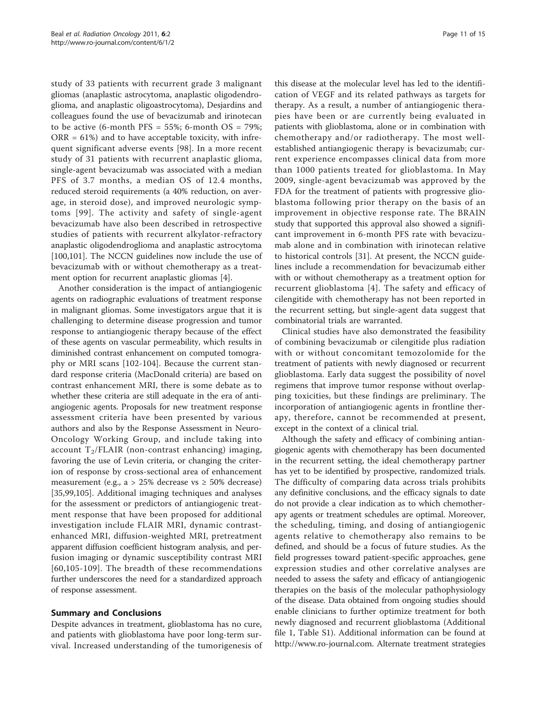study of 33 patients with recurrent grade 3 malignant gliomas (anaplastic astrocytoma, anaplastic oligodendroglioma, and anaplastic oligoastrocytoma), Desjardins and colleagues found the use of bevacizumab and irinotecan to be active (6-month PFS =  $55\%$ ; 6-month OS =  $79\%$ ;  $ORR = 61\%)$  and to have acceptable toxicity, with infrequent significant adverse events [\[98](#page-14-0)]. In a more recent study of 31 patients with recurrent anaplastic glioma, single-agent bevacizumab was associated with a median PFS of 3.7 months, a median OS of 12.4 months, reduced steroid requirements (a 40% reduction, on average, in steroid dose), and improved neurologic symptoms [[99](#page-14-0)]. The activity and safety of single-agent bevacizumab have also been described in retrospective studies of patients with recurrent alkylator-refractory anaplastic oligodendroglioma and anaplastic astrocytoma [[100,101\]](#page-14-0). The NCCN guidelines now include the use of bevacizumab with or without chemotherapy as a treatment option for recurrent anaplastic gliomas [[4](#page-11-0)].

Another consideration is the impact of antiangiogenic agents on radiographic evaluations of treatment response in malignant gliomas. Some investigators argue that it is challenging to determine disease progression and tumor response to antiangiogenic therapy because of the effect of these agents on vascular permeability, which results in diminished contrast enhancement on computed tomography or MRI scans [\[102](#page-14-0)-[104](#page-14-0)]. Because the current standard response criteria (MacDonald criteria) are based on contrast enhancement MRI, there is some debate as to whether these criteria are still adequate in the era of antiangiogenic agents. Proposals for new treatment response assessment criteria have been presented by various authors and also by the Response Assessment in Neuro-Oncology Working Group, and include taking into account  $T_2$ /FLAIR (non-contrast enhancing) imaging, favoring the use of Levin criteria, or changing the criterion of response by cross-sectional area of enhancement measurement (e.g., a > 25% decrease vs  $\geq$  50% decrease) [[35,](#page-12-0)[99,105\]](#page-14-0). Additional imaging techniques and analyses for the assessment or predictors of antiangiogenic treatment response that have been proposed for additional investigation include FLAIR MRI, dynamic contrastenhanced MRI, diffusion-weighted MRI, pretreatment apparent diffusion coefficient histogram analysis, and perfusion imaging or dynamic susceptibility contrast MRI [[60,](#page-13-0)[105-109\]](#page-14-0). The breadth of these recommendations further underscores the need for a standardized approach of response assessment.

# Summary and Conclusions

Despite advances in treatment, glioblastoma has no cure, and patients with glioblastoma have poor long-term survival. Increased understanding of the tumorigenesis of

this disease at the molecular level has led to the identification of VEGF and its related pathways as targets for therapy. As a result, a number of antiangiogenic therapies have been or are currently being evaluated in patients with glioblastoma, alone or in combination with chemotherapy and/or radiotherapy. The most wellestablished antiangiogenic therapy is bevacizumab; current experience encompasses clinical data from more than 1000 patients treated for glioblastoma. In May 2009, single-agent bevacizumab was approved by the FDA for the treatment of patients with progressive glioblastoma following prior therapy on the basis of an improvement in objective response rate. The BRAIN study that supported this approval also showed a significant improvement in 6-month PFS rate with bevacizumab alone and in combination with irinotecan relative to historical controls [\[31](#page-12-0)]. At present, the NCCN guidelines include a recommendation for bevacizumab either with or without chemotherapy as a treatment option for

recurrent glioblastoma [[4](#page-11-0)]. The safety and efficacy of cilengitide with chemotherapy has not been reported in the recurrent setting, but single-agent data suggest that combinatorial trials are warranted.

Clinical studies have also demonstrated the feasibility of combining bevacizumab or cilengitide plus radiation with or without concomitant temozolomide for the treatment of patients with newly diagnosed or recurrent glioblastoma. Early data suggest the possibility of novel regimens that improve tumor response without overlapping toxicities, but these findings are preliminary. The incorporation of antiangiogenic agents in frontline therapy, therefore, cannot be recommended at present, except in the context of a clinical trial.

Although the safety and efficacy of combining antiangiogenic agents with chemotherapy has been documented in the recurrent setting, the ideal chemotherapy partner has yet to be identified by prospective, randomized trials. The difficulty of comparing data across trials prohibits any definitive conclusions, and the efficacy signals to date do not provide a clear indication as to which chemotherapy agents or treatment schedules are optimal. Moreover, the scheduling, timing, and dosing of antiangiogenic agents relative to chemotherapy also remains to be defined, and should be a focus of future studies. As the field progresses toward patient-specific approaches, gene expression studies and other correlative analyses are needed to assess the safety and efficacy of antiangiogenic therapies on the basis of the molecular pathophysiology of the disease. Data obtained from ongoing studies should enable clinicians to further optimize treatment for both newly diagnosed and recurrent glioblastoma (Additional file [1](#page-11-0), Table S1). Additional information can be found at [http://www.ro-journal.com.](http://www.ro-journal.com) Alternate treatment strategies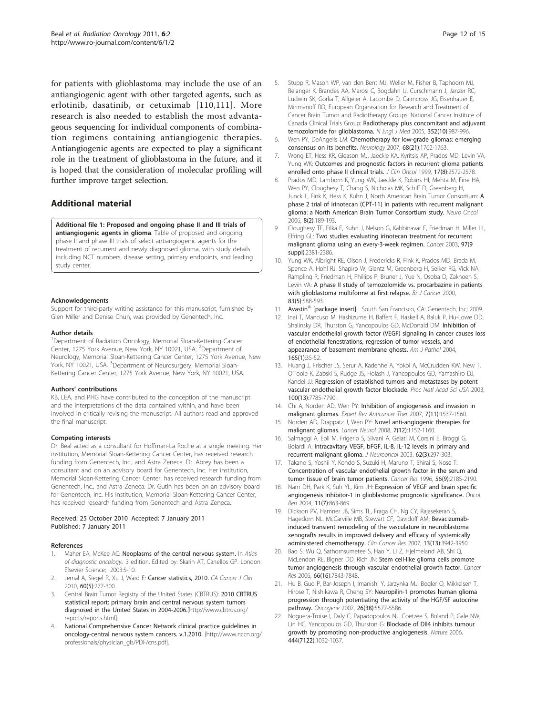<span id="page-11-0"></span>for patients with glioblastoma may include the use of an antiangiogenic agent with other targeted agents, such as erlotinib, dasatinib, or cetuximab [[110](#page-14-0),[111](#page-14-0)]. More research is also needed to establish the most advantageous sequencing for individual components of combination regimens containing antiangiogenic therapies. Antiangiogenic agents are expected to play a significant role in the treatment of glioblastoma in the future, and it is hoped that the consideration of molecular profiling will further improve target selection.

# Additional material

[Additional file 1: P](http://www.biomedcentral.com/content/supplementary/1748-717X-6-2-S1.DOC)roposed and ongoing phase II and III trials of antiangiogenic agents in glioma. Table of proposed and ongoing phase II and phase III trials of select antiangiogenic agents for the treatment of recurrent and newly diagnosed glioma, with study details including NCT numbers, disease setting, primary endpoints, and leading study center.

#### Acknowledgements

Support for third-party writing assistance for this manuscript, furnished by Glen Miller and Denise Chun, was provided by Genentech, Inc.

#### Author details

<sup>1</sup>Department of Radiation Oncology, Memorial Sloan-Kettering Cancer Center, 1275 York Avenue, New York, NY 10021, USA. <sup>2</sup>Department of Neurology, Memorial Sloan-Kettering Cancer Center, 1275 York Avenue, New York, NY 10021, USA. <sup>3</sup>Department of Neurosurgery, Memorial Sloan-Kettering Cancer Center, 1275 York Avenue, New York, NY 10021, USA.

#### Authors' contributions

KB, LEA, and PHG have contributed to the conception of the manuscript and the interpretations of the data contained within, and have been involved in critically revising the manuscript. All authors read and approved the final manuscript.

#### Competing interests

Dr. Beal acted as a consultant for Hoffman-La Roche at a single meeting. Her institution, Memorial Sloan-Kettering Cancer Center, has received research funding from Genentech, Inc., and Astra Zeneca. Dr. Abrey has been a consultant and on an advisory board for Genentech, Inc. Her institution, Memorial Sloan-Kettering Cancer Center, has received research funding from Genentech, Inc., and Astra Zeneca. Dr. Gutin has been on an advisory board for Genentech, Inc. His institution, Memorial Sloan-Kettering Cancer Center, has received research funding from Genentech and Astra Zeneca.

#### Received: 25 October 2010 Accepted: 7 January 2011 Published: 7 January 2011

### References

- 1. Maher EA, McKee AC: Neoplasms of the central nervous system. In Atlas of diagnostic oncology.. 3 edition. Edited by: Skarin AT, Canellos GP. London: Elsevier Science; 2003:5-10.
- Jemal A, Siegel R, Xu J, Ward E: [Cancer statistics, 2010.](http://www.ncbi.nlm.nih.gov/pubmed/20610543?dopt=Abstract) CA Cancer J Clin 2010, 60(5):277-300.
- Central Brain Tumor Registry of the United States (CBTRUS): 2010 CBTRUS statistical report: primary brain and central nervous system tumors diagnosed in the United States in 2004-2006.[[http://www.cbtrus.org/](http://www.cbtrus.org/reports/reports.html) [reports/reports.html](http://www.cbtrus.org/reports/reports.html)].
- 4. National Comprehensive Cancer Network clinical practice guidelines in oncology-central nervous system cancers. v.1.2010. [[http://www.nccn.org/](http://www.nccn.org/professionals/physician_gls/PDF/cns.pdf) [professionals/physician\\_gls/PDF/cns.pdf\]](http://www.nccn.org/professionals/physician_gls/PDF/cns.pdf).
- 5. Stupp R, Mason WP, van den Bent MJ, Weller M, Fisher B, Taphoorn MJ, Belanger K, Brandes AA, Marosi C, Bogdahn U, Curschmann J, Janzer RC, Ludwin SK, Gorlia T, Allgeier A, Lacombe D, Cairncross JG, Eisenhauer E, Mirimanoff RO, European Organisation for Research and Treatment of Cancer Brain Tumor and Radiotherapy Groups; National Cancer Institute of Canada Clinical Trials Group: [Radiotherapy plus concomitant and adjuvant](http://www.ncbi.nlm.nih.gov/pubmed/15758009?dopt=Abstract) [temozolomide for glioblastoma.](http://www.ncbi.nlm.nih.gov/pubmed/15758009?dopt=Abstract) N Engl J Med 2005, 352(10):987-996.
- 6. Wen PY, DeAngelis LM: [Chemotherapy for low-grade gliomas: emerging](http://www.ncbi.nlm.nih.gov/pubmed/17515537?dopt=Abstract) [consensus on its benefits.](http://www.ncbi.nlm.nih.gov/pubmed/17515537?dopt=Abstract) Neurology 2007, 68(21):1762-1763.
- 7. Wong ET, Hess KR, Gleason MJ, Jaeckle KA, Kyritsis AP, Prados MD, Levin VA, Yung WK: [Outcomes and prognostic factors in recurrent glioma patients](http://www.ncbi.nlm.nih.gov/pubmed/10561324?dopt=Abstract) [enrolled onto phase II clinical trials.](http://www.ncbi.nlm.nih.gov/pubmed/10561324?dopt=Abstract) J Clin Oncol 1999, 17(8):2572-2578.
- 8. Prados MD, Lamborn K, Yung WK, Jaeckle K, Robins HI, Mehta M, Fine HA, Wen PY, Cloughesy T, Chang S, Nicholas MK, Schiff D, Greenberg H, Junck L, Fink K, Hess K, Kuhn J, North American Brain Tumor Consortium: [A](http://www.ncbi.nlm.nih.gov/pubmed/16533878?dopt=Abstract) [phase 2 trial of irinotecan \(CPT-11\) in patients with recurrent malignant](http://www.ncbi.nlm.nih.gov/pubmed/16533878?dopt=Abstract) [glioma: a North American Brain Tumor Consortium study.](http://www.ncbi.nlm.nih.gov/pubmed/16533878?dopt=Abstract) Neuro Oncol 2006, 8(2):189-193.
- 9. Cloughesy TF, Filka E, Kuhn J, Nelson G, Kabbinavar F, Friedman H, Miller LL, Elfring GL: [Two studies evaluating irinotecan treatment for recurrent](http://www.ncbi.nlm.nih.gov/pubmed/12712460?dopt=Abstract) [malignant glioma using an every-3-week regimen.](http://www.ncbi.nlm.nih.gov/pubmed/12712460?dopt=Abstract) Cancer 2003, 97(9 suppl):2381-2386.
- 10. Yung WK, Albright RE, Olson J, Fredericks R, Fink K, Prados MD, Brada M, Spence A, Hohl RJ, Shapiro W, Glantz M, Greenberg H, Selker RG, Vick NA, Rampling R, Friedman H, Phillips P, Bruner J, Yue N, Osoba D, Zaknoen S, Levin VA: [A phase II study of temozolomide vs. procarbazine in patients](http://www.ncbi.nlm.nih.gov/pubmed/10944597?dopt=Abstract) [with glioblastoma multiforme at first relapse.](http://www.ncbi.nlm.nih.gov/pubmed/10944597?dopt=Abstract) Br J Cancer 2000, 83(5):588-593.
- 11. Avastin<sup>®</sup> [package insert]. South San Francisco, CA: Genentech, Inc; 2009.
- 12. Inai T, Mancuso M, Hashizume H, Baffert F, Haskell A, Baluk P, Hu-Lowe DD, Shalinsky DR, Thurston G, Yancopoulos GD, McDonald DM: [Inhibition of](http://www.ncbi.nlm.nih.gov/pubmed/15215160?dopt=Abstract) [vascular endothelial growth factor \(VEGF\) signaling in cancer causes loss](http://www.ncbi.nlm.nih.gov/pubmed/15215160?dopt=Abstract) [of endothelial fenestrations, regression of tumor vessels, and](http://www.ncbi.nlm.nih.gov/pubmed/15215160?dopt=Abstract) [appearance of basement membrane ghosts.](http://www.ncbi.nlm.nih.gov/pubmed/15215160?dopt=Abstract) Am J Pathol 2004, 165(1):35-52.
- 13. Huang J, Frischer JS, Serur A, Kadenhe A, Yokoi A, McCrudden KW, New T, O'Toole K, Zabski S, Rudge JS, Holash J, Yancopoulos GD, Yamashiro DJ, Kandel JJ: [Regression of established tumors and metastases by potent](http://www.ncbi.nlm.nih.gov/pubmed/12805568?dopt=Abstract) [vascular endothelial growth factor blockade.](http://www.ncbi.nlm.nih.gov/pubmed/12805568?dopt=Abstract) Proc Natl Acad Sci USA 2003, 100(13):7785-7790.
- 14. Chi A, Norden AD, Wen PY: [Inhibition of angiogenesis and invasion in](http://www.ncbi.nlm.nih.gov/pubmed/18020923?dopt=Abstract) [malignant gliomas.](http://www.ncbi.nlm.nih.gov/pubmed/18020923?dopt=Abstract) Expert Rev Anticancer Ther 2007, 7(11):1537-1560.
- 15. Norden AD, Drappatz J, Wen PY: [Novel anti-angiogenic therapies for](http://www.ncbi.nlm.nih.gov/pubmed/19007739?dopt=Abstract) [malignant gliomas.](http://www.ncbi.nlm.nih.gov/pubmed/19007739?dopt=Abstract) Lancet Neurol 2008, 7(12):1152-1160.
- 16. Salmaggi A, Eoli M, Frigerio S, Silvani A, Gelati M, Corsini E, Broggi G, Boiardi A: [Intracavitary VEGF, bFGF, IL-8, IL-12 levels in primary and](http://www.ncbi.nlm.nih.gov/pubmed/12777082?dopt=Abstract) [recurrent malignant glioma.](http://www.ncbi.nlm.nih.gov/pubmed/12777082?dopt=Abstract) J Neurooncol 2003, 62(3):297-303.
- 17. Takano S, Yoshii Y, Kondo S, Suzuki H, Maruno T, Shirai S, Nose T: [Concentration of vascular endothelial growth factor in the serum and](http://www.ncbi.nlm.nih.gov/pubmed/8616870?dopt=Abstract) [tumor tissue of brain tumor patients.](http://www.ncbi.nlm.nih.gov/pubmed/8616870?dopt=Abstract) Cancer Res 1996, 56(9):2185-2190.
- 18. Nam DH, Park K, Suh YL, Kim JH: [Expression of VEGF and brain specific](http://www.ncbi.nlm.nih.gov/pubmed/15010886?dopt=Abstract) [angiogenesis inhibitor-1 in glioblastoma: prognostic significance.](http://www.ncbi.nlm.nih.gov/pubmed/15010886?dopt=Abstract) Oncol Rep 2004, 11(7):863-869.
- 19. Dickson PV, Hamner JB, Sims TL, Fraga CH, Ng CY, Rajasekeran S, Hagedorn NL, McCarville MB, Stewart CF, Davidoff AM: [Bevacizumab](http://www.ncbi.nlm.nih.gov/pubmed/17606728?dopt=Abstract)[induced transient remodeling of the vasculature in neuroblastoma](http://www.ncbi.nlm.nih.gov/pubmed/17606728?dopt=Abstract) [xenografts results in improved delivery and efficacy of systemically](http://www.ncbi.nlm.nih.gov/pubmed/17606728?dopt=Abstract) [administered chemotherapy.](http://www.ncbi.nlm.nih.gov/pubmed/17606728?dopt=Abstract) Clin Cancer Res 2007, 13(13):3942-3950.
- 20. Bao S, Wu Q, Sathornsumetee S, Hao Y, Li Z, Hjelmeland AB, Shi Q, McLendon RE, Bigner DD, Rich JN: [Stem cell-like glioma cells promote](http://www.ncbi.nlm.nih.gov/pubmed/16912155?dopt=Abstract) [tumor angiogenesis through vascular endothelial growth factor.](http://www.ncbi.nlm.nih.gov/pubmed/16912155?dopt=Abstract) Cancer Res 2006, 66(16):7843-7848.
- 21. Hu B, Guo P, Bar-Joseph I, Imanishi Y, Jarzynka MJ, Bogler O, Mikkelsen T, Hirose T, Nishikawa R, Cheng SY: [Neuropilin-1 promotes human glioma](http://www.ncbi.nlm.nih.gov/pubmed/17369861?dopt=Abstract) [progression through potentiating the activity of the HGF/SF autocrine](http://www.ncbi.nlm.nih.gov/pubmed/17369861?dopt=Abstract) [pathway.](http://www.ncbi.nlm.nih.gov/pubmed/17369861?dopt=Abstract) Oncogene 2007, 26(38):5577-5586.
- 22. Noguera-Troise I, Daly C, Papadopoulos NJ, Coetzee S, Boland P, Gale NW, Lin HC, Yancopoulos GD, Thurston G: [Blockade of Dll4 inhibits tumour](http://www.ncbi.nlm.nih.gov/pubmed/17183313?dopt=Abstract) [growth by promoting non-productive angiogenesis.](http://www.ncbi.nlm.nih.gov/pubmed/17183313?dopt=Abstract) Nature 2006, 444(7122):1032-1037.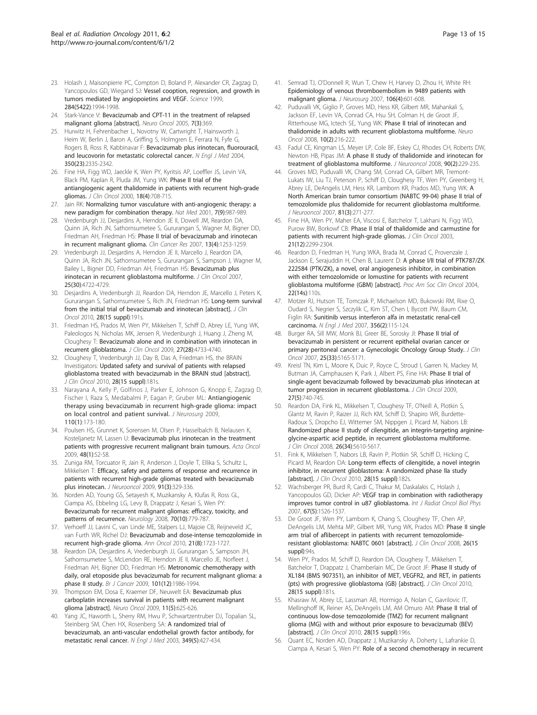- <span id="page-12-0"></span>23. Holash J, Maisonpierre PC, Compton D, Boland P, Alexander CR, Zagzag D, Yancopoulos GD, Wiegand SJ: [Vessel cooption, regression, and growth in](http://www.ncbi.nlm.nih.gov/pubmed/10373119?dopt=Abstract) [tumors mediated by angiopoietins and VEGF.](http://www.ncbi.nlm.nih.gov/pubmed/10373119?dopt=Abstract) Science 1999, 284(5422):1994-1998.
- 24. Stark-Vance V: Bevacizumab and CPT-11 in the treatment of relapsed malignant glioma [abstract]. Neuro Oncol 2005, 7(3):369.
- 25. Hurwitz H, Fehrenbacher L, Novotny W, Cartwright T, Hainsworth J, Heim W, Berlin J, Baron A, Griffing S, Holmgren E, Ferrara N, Fyfe G, Rogers B, Ross R, Kabbinavar F: [Bevacizumab plus irinotecan, fluorouracil,](http://www.ncbi.nlm.nih.gov/pubmed/15175435?dopt=Abstract) [and leucovorin for metastatic colorectal cancer.](http://www.ncbi.nlm.nih.gov/pubmed/15175435?dopt=Abstract) N Engl J Med 2004, 350(23):2335-2342.
- 26. Fine HA, Figg WD, Jaeckle K, Wen PY, Kyritsis AP, Loeffler JS, Levin VA, Black PM, Kaplan R, Pluda JM, Yung WK: [Phase II trial of the](http://www.ncbi.nlm.nih.gov/pubmed/10673511?dopt=Abstract) [antiangiogenic agent thalidomide in patients with recurrent high-grade](http://www.ncbi.nlm.nih.gov/pubmed/10673511?dopt=Abstract) [gliomas.](http://www.ncbi.nlm.nih.gov/pubmed/10673511?dopt=Abstract) J Clin Oncol 2000, 18(4):708-715.
- 27. Jain RK: [Normalizing tumor vasculature with anti-angiogenic therapy: a](http://www.ncbi.nlm.nih.gov/pubmed/11533692?dopt=Abstract) [new paradigm for combination therapy.](http://www.ncbi.nlm.nih.gov/pubmed/11533692?dopt=Abstract) Nat Med 2001, 7(9):987-989.
- 28. Vredenburgh JJ, Desjardins A, Herndon JE II, Dowell JM, Reardon DA, Quinn JA, Rich JN, Sathornsumetee S, Gururangan S, Wagner M, Bigner DD, Friedman AH, Friedman HS: [Phase II trial of bevacizumab and irinotecan](http://www.ncbi.nlm.nih.gov/pubmed/17317837?dopt=Abstract) [in recurrent malignant glioma.](http://www.ncbi.nlm.nih.gov/pubmed/17317837?dopt=Abstract) Clin Cancer Res 2007, 13(4):1253-1259.
- 29. Vredenburgh JJ, Desjardins A, Herndon JE II, Marcello J, Reardon DA, Quinn JA, Rich JN, Sathornsumetee S, Gururangan S, Sampson J, Wagner M, Bailey L, Bigner DD, Friedman AH, Friedman HS: [Bevacizumab plus](http://www.ncbi.nlm.nih.gov/pubmed/17947719?dopt=Abstract) [irinotecan in recurrent glioblastoma multiforme.](http://www.ncbi.nlm.nih.gov/pubmed/17947719?dopt=Abstract) J Clin Oncol 2007. 25(30):4722-4729.
- 30. Desjardins A, Vredenburgh JJ, Reardon DA, Herndon JE, Marcello J, Peters K, Gururangan S, Sathornsumetee S, Rich JN, Friedman HS: Long-term survival from the initial trial of bevacizumab and irinotecan [abstract]. J Clin Oncol 2010, 28(15 suppl):191s.
- 31. Friedman HS, Prados M, Wen PY, Mikkelsen T, Schiff D, Abrey LE, Yung WK, Paleologos N, Nicholas MK, Jensen R, Vredenburgh J, Huang J, Zheng M, Cloughesy T: [Bevacizumab alone and in combination with irinotecan in](http://www.ncbi.nlm.nih.gov/pubmed/19720927?dopt=Abstract) [recurrent glioblastoma.](http://www.ncbi.nlm.nih.gov/pubmed/19720927?dopt=Abstract) J Clin Oncol 2009, 27(28):4733-4740.
- 32. Cloughesy T, Vredenburgh JJ, Day B, Das A, Friedman HS, the BRAIN Investigators: Updated safety and survival of patients with relapsed glioblastoma treated with bevacizumab in the BRAIN stud [abstract]. J Clin Oncol 2010, 28(15 suppl):181s.
- 33. Narayana A, Kelly P, Golfinos J, Parker E, Johnson G, Knopp E, Zagzag D, Fischer I, Raza S, Medabalmi P, Eagan P, Gruber ML: [Antiangiogenic](http://www.ncbi.nlm.nih.gov/pubmed/18834263?dopt=Abstract) [therapy using bevacizumab in recurrent high-grade glioma: impact](http://www.ncbi.nlm.nih.gov/pubmed/18834263?dopt=Abstract) [on local control and patient survival.](http://www.ncbi.nlm.nih.gov/pubmed/18834263?dopt=Abstract) J Neurosurg 2009, 110(1):173-180.
- 34. Poulsen HS, Grunnet K, Sorensen M, Olsen P, Hasselbalch B, Nelausen K, Kosteljanetz M, Lassen U: [Bevacizumab plus irinotecan in the treatment](http://www.ncbi.nlm.nih.gov/pubmed/19031176?dopt=Abstract) [patients with progressive recurrent malignant brain tumours.](http://www.ncbi.nlm.nih.gov/pubmed/19031176?dopt=Abstract) Acta Oncol 2009, 48(1):52-58.
- 35. Zuniga RM, Torcuator R, Jain R, Anderson J, Doyle T, Ellika S, Schultz L, Mikkelsen T: [Efficacy, safety and patterns of response and recurrence in](http://www.ncbi.nlm.nih.gov/pubmed/18953493?dopt=Abstract) [patients with recurrent high-grade gliomas treated with bevacizumab](http://www.ncbi.nlm.nih.gov/pubmed/18953493?dopt=Abstract) [plus irinotecan.](http://www.ncbi.nlm.nih.gov/pubmed/18953493?dopt=Abstract) J Neurooncol 2009, 91(3):329-336.
- 36. Norden AD, Young GS, Setayesh K, Muzikansky A, Klufas R, Ross GL, Ciampa AS, Ebbeling LG, Levy B, Drappatz J, Kesari S, Wen PY: [Bevacizumab for recurrent malignant gliomas: efficacy, toxicity, and](http://www.ncbi.nlm.nih.gov/pubmed/18316689?dopt=Abstract) [patterns of recurrence.](http://www.ncbi.nlm.nih.gov/pubmed/18316689?dopt=Abstract) Neurology 2008, 70(10):779-787.
- 37. Verhoeff JJ, Lavini C, van Linde ME, Stalpers LJ, Majoie CB, Reijneveld JC, van Furth WR, Richel DJ: [Bevacizumab and dose-intense temozolomide in](http://www.ncbi.nlm.nih.gov/pubmed/20064829?dopt=Abstract) [recurrent high-grade glioma.](http://www.ncbi.nlm.nih.gov/pubmed/20064829?dopt=Abstract) Ann Oncol 2010, 21(8):1723-1727.
- 38. Reardon DA, Desjardins A, Vredenburgh JJ, Gururangan S, Sampson JH, Sathornsumetee S, McLendon RE, Herndon JE II, Marcello JE, Norfleet J, Friedman AH, Bigner DD, Friedman HS: [Metronomic chemotherapy with](http://www.ncbi.nlm.nih.gov/pubmed/19920819?dopt=Abstract) [daily, oral etoposide plus bevacizumab for recurrent malignant glioma: a](http://www.ncbi.nlm.nih.gov/pubmed/19920819?dopt=Abstract) [phase II study.](http://www.ncbi.nlm.nih.gov/pubmed/19920819?dopt=Abstract) Br J Cancer 2009, 101(12):1986-1994.
- 39. Thompson EM, Dosa E, Kraemer DF, Neuwelt EA: Bevacizumab plus carboplatin increases survival in patients with recurrent malignant glioma [abstract]. Neuro Oncol 2009, 11(5):625-626.
- 40. Yang JC, Haworth L, Sherry RM, Hwu P, Schwartzentruber DJ, Topalian SL, Steinberg SM, Chen HX, Rosenberg SA: [A randomized trial of](http://www.ncbi.nlm.nih.gov/pubmed/12890841?dopt=Abstract) [bevacizumab, an anti-vascular endothelial growth factor antibody, for](http://www.ncbi.nlm.nih.gov/pubmed/12890841?dopt=Abstract) [metastatic renal cancer.](http://www.ncbi.nlm.nih.gov/pubmed/12890841?dopt=Abstract) N Engl J Med 2003, 349(5):427-434.
- 41. Semrad TJ, O'Donnell R, Wun T, Chew H, Harvey D, Zhou H, White RH: [Epidemiology of venous thromboembolism in 9489 patients with](http://www.ncbi.nlm.nih.gov/pubmed/17432710?dopt=Abstract) [malignant glioma.](http://www.ncbi.nlm.nih.gov/pubmed/17432710?dopt=Abstract) J Neurosurg 2007, 106(4):601-608.
- 42. Puduvalli VK, Giglio P, Groves MD, Hess KR, Gilbert MR, Mahankali S, Jackson EF, Levin VA, Conrad CA, Hsu SH, Colman H, de Groot JF, Ritterhouse MG, Ictech SE, Yung WK: [Phase II trial of irinotecan and](http://www.ncbi.nlm.nih.gov/pubmed/18314417?dopt=Abstract) [thalidomide in adults with recurrent glioblastoma multiforme.](http://www.ncbi.nlm.nih.gov/pubmed/18314417?dopt=Abstract) Neuro Oncol 2008, 10(2):216-222.
- 43. Fadul CE, Kingman LS, Meyer LP, Cole BF, Eskey CJ, Rhodes CH, Roberts DW, Newton HB, Pipas JM: [A phase II study of thalidomide and irinotecan for](http://www.ncbi.nlm.nih.gov/pubmed/18661102?dopt=Abstract) [treatment of glioblastoma multiforme.](http://www.ncbi.nlm.nih.gov/pubmed/18661102?dopt=Abstract) J Neurooncol 2008, 90(2):229-235.
- 44. Groves MD, Puduvalli VK, Chang SM, Conrad CA, Gilbert MR, Tremont-Lukats IW, Liu TJ, Peterson P, Schiff D, Cloughesy TF, Wen PY, Greenberg H, Abrey LE, DeAngelis LM, Hess KR, Lamborn KR, Prados MD, Yung WK: [A](http://www.ncbi.nlm.nih.gov/pubmed/17031561?dopt=Abstract) [North American brain tumor consortium \(NABTC 99-04\) phase II trial of](http://www.ncbi.nlm.nih.gov/pubmed/17031561?dopt=Abstract) [temozolomide plus thalidomide for recurrent glioblastoma multiforme.](http://www.ncbi.nlm.nih.gov/pubmed/17031561?dopt=Abstract) J Neurooncol 2007, 81(3):271-277.
- 45. Fine HA, Wen PY, Maher EA, Viscosi E, Batchelor T, Lakhani N, Figg WD, Purow BW, Borkowf CB: [Phase II trial of thalidomide and carmustine for](http://www.ncbi.nlm.nih.gov/pubmed/12805330?dopt=Abstract) [patients with recurrent high-grade gliomas.](http://www.ncbi.nlm.nih.gov/pubmed/12805330?dopt=Abstract) J Clin Oncol 2003, 21(12):2299-2304.
- 46. Reardon D, Friedman H, Yung WKA, Brada M, Conrad C, Provenzale J, Jackson E, Serajuddin H, Chen B, Laurent D: A phase I/II trial of PTK787/ZK 222584 (PTK/ZK), a novel, oral angiogenesis inhibitor, in combination with either temozolomide or lomustine for patients with recurrent glioblastoma multiforme (GBM) [abstract]. Proc Am Soc Clin Oncol 2004, 22(14s):110s.
- 47. Motzer RJ, Hutson TE, Tomczak P, Michaelson MD, Bukowski RM, Rixe O, Oudard S, Negrier S, Szczylik C, Kim ST, Chen I, Bycott PW, Baum CM, Figlin RA: [Sunitinib versus interferon alfa in metastatic renal-cell](http://www.ncbi.nlm.nih.gov/pubmed/17215529?dopt=Abstract) [carcinoma.](http://www.ncbi.nlm.nih.gov/pubmed/17215529?dopt=Abstract) N Engl J Med 2007, 356(2):115-124.
- 48. Burger RA, Sill MW, Monk BJ, Greer BE, Sorosky JI: [Phase II trial of](http://www.ncbi.nlm.nih.gov/pubmed/18024863?dopt=Abstract) [bevacizumab in persistent or recurrent epithelial ovarian cancer or](http://www.ncbi.nlm.nih.gov/pubmed/18024863?dopt=Abstract) [primary peritoneal cancer: a Gynecologic Oncology Group Study.](http://www.ncbi.nlm.nih.gov/pubmed/18024863?dopt=Abstract) J Clin Oncol 2007, 25(33):5165-5171.
- 49. Kreisl TN, Kim L, Moore K, Duic P, Royce C, Stroud I, Garren N, Mackey M, Butman JA, Camphausen K, Park J, Albert PS, Fine HA: [Phase II trial of](http://www.ncbi.nlm.nih.gov/pubmed/19114704?dopt=Abstract) [single-agent bevacizumab followed by bevacizumab plus irinotecan at](http://www.ncbi.nlm.nih.gov/pubmed/19114704?dopt=Abstract) [tumor progression in recurrent glioblastoma.](http://www.ncbi.nlm.nih.gov/pubmed/19114704?dopt=Abstract) J Clin Oncol 2009, 27(5):740-745.
- 50. Reardon DA, Fink KL, Mikkelsen T, Cloughesy TF, O'Neill A, Plotkin S, Glantz M, Ravin P, Raizer JJ, Rich KM, Schiff D, Shapiro WR, Burdette-Radoux S, Dropcho EJ, Wittemer SM, Nippgen J, Picard M, Nabors LB: [Randomized phase II study of cilengitide, an integrin-targeting arginine](http://www.ncbi.nlm.nih.gov/pubmed/18981465?dopt=Abstract)[glycine-aspartic acid peptide, in recurrent glioblastoma multiforme.](http://www.ncbi.nlm.nih.gov/pubmed/18981465?dopt=Abstract) J Clin Oncol 2008, 26(34):5610-5617.
- 51. Fink K, Mikkelsen T, Nabors LB, Ravin P, Plotkin SR, Schiff D, Hicking C, Picard M, Reardon DA: Long-term effects of cilengitide, a novel integrin inhibitor, in recurrent glioblastoma: A randomized phase IIa study [abstract]. J Clin Oncol 2010, 28(15 suppl):182s.
- 52. Wachsberger PR, Burd R, Cardi C, Thakur M, Daskalakis C, Holash J, Yancopoulos GD, Dicker AP: [VEGF trap in combination with radiotherapy](http://www.ncbi.nlm.nih.gov/pubmed/17234361?dopt=Abstract) [improves tumor control in u87 glioblastoma.](http://www.ncbi.nlm.nih.gov/pubmed/17234361?dopt=Abstract) Int J Radiat Oncol Biol Phys 2007, 67(5):1526-1537.
- 53. De Groot JF, Wen PY, Lamborn K, Chang S, Cloughesy TF, Chen AP, DeAngelis LM, Mehta MP, Gilbert MR, Yung WK, Prados MD: Phase II single arm trial of aflibercept in patients with recurrent temozolomideresistant glioblastoma: NABTC 0601 [abstract]. J Clin Oncol 2008, 26(15 suppl):94s.
- 54. Wen PY, Prados M, Schiff D, Reardon DA, Cloughesy T, Mikkelsen T, Batchelor T, Drappatz J, Chamberlain MC, De Groot JF: Phase II study of XL184 (BMS 907351), an inhibitor of MET, VEGFR2, and RET, in patients (pts) with progressive glioblastoma (GB) [abstract]. J Clin Oncol 2010, 28(15 suppl):181s.
- Khasraw M, Abrey LE, Lassman AB, Hormigo A, Nolan C, Gavrilovic IT, Mellinghoff IK, Reiner AS, DeAngelis LM, AM Omuro AM: Phase II trial of continuous low-dose temozolomide (TMZ) for recurrent malignant glioma (MG) with and without prior exposure to bevacizumab (BEV) [abstract]. J Clin Oncol 2010, 28(15 suppl):196s.
- 56. Quant EC, Norden AD, Drappatz J, Muzikansky A, Doherty L, Lafrankie D, Ciampa A, Kesari S, Wen PY: [Role of a second chemotherapy in recurrent](http://www.ncbi.nlm.nih.gov/pubmed/19332770?dopt=Abstract)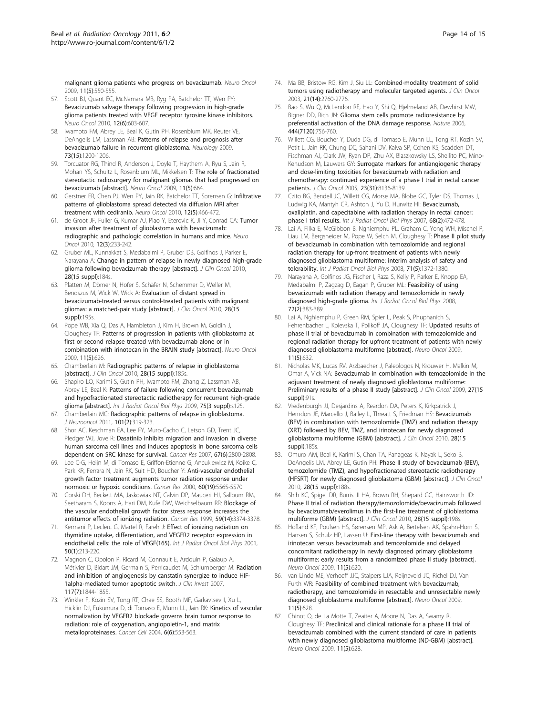<span id="page-13-0"></span>[malignant glioma patients who progress on bevacizumab.](http://www.ncbi.nlm.nih.gov/pubmed/19332770?dopt=Abstract) Neuro Oncol 2009, 11(5):550-555.

- 57. Scott BJ, Quant EC, McNamara MB, Ryg PA, Batchelor TT, Wen PY: [Bevacizumab salvage therapy following progression in high-grade](http://www.ncbi.nlm.nih.gov/pubmed/20156808?dopt=Abstract) [glioma patients treated with VEGF receptor tyrosine kinase inhibitors.](http://www.ncbi.nlm.nih.gov/pubmed/20156808?dopt=Abstract) Neuro Oncol 2010, 12(6):603-607.
- 58. Iwamoto FM, Abrey LE, Beal K, Gutin PH, Rosenblum MK, Reuter VE, DeAngelis LM, Lassman AB: [Patterns of relapse and prognosis after](http://www.ncbi.nlm.nih.gov/pubmed/19822869?dopt=Abstract) [bevacizumab failure in recurrent glioblastoma.](http://www.ncbi.nlm.nih.gov/pubmed/19822869?dopt=Abstract) Neurology 2009, 73(15):1200-1206.
- 59. Torcuator RG, Thind R, Anderson J, Doyle T, Haythem A, Ryu S, Jain R, Mohan YS, Schultz L, Rosenblum ML, Mikkelsen T: The role of fractionated stereotactic radiosurgery for malignant gliomas that had progressed on bevacizumab [abstract]. Neuro Oncol 2009, 11(5):664.
- 60. Gerstner ER, Chen PJ, Wen PY, Jain RK, Batchelor TT, Sorensen G: [Infiltrative](http://www.ncbi.nlm.nih.gov/pubmed/20406897?dopt=Abstract) [patterns of glioblastoma spread detected via diffusion MRI after](http://www.ncbi.nlm.nih.gov/pubmed/20406897?dopt=Abstract) [treatment with cediranib.](http://www.ncbi.nlm.nih.gov/pubmed/20406897?dopt=Abstract) Neuro Oncol 2010, 12(5):466-472.
- 61. de Groot JF, Fuller G, Kumar AJ, Piao Y, Eterovic K, Ji Y, Conrad CA: [Tumor](http://www.ncbi.nlm.nih.gov/pubmed/20167811?dopt=Abstract) [invasion after treatment of glioblastoma with bevacizumab:](http://www.ncbi.nlm.nih.gov/pubmed/20167811?dopt=Abstract) [radiographic and pathologic correlation in humans and mice.](http://www.ncbi.nlm.nih.gov/pubmed/20167811?dopt=Abstract) Neuro Oncol 2010, 12(3):233-242.
- 62. Gruber ML, Kunnakkat S, Medabalmi P, Gruber DB, Golfinos J, Parker E, Narayana A: Change in pattern of relapse in newly diagnosed high-grade glioma following bevacizumab therapy [abstract]. J Clin Oncol 2010, 28(15 suppl):184s.
- 63. Platten M, Dörner N, Hofer S, Schäfer N, Schemmer D, Weller M, Bendszus M, Wick W, Wick A: Evaluation of distant spread in bevacizumab-treated versus control-treated patients with malignant gliomas: a matched-pair study [abstract]. J Clin Oncol 2010, 28(15 suppl):195s.
- 64. Pope WB, Xia Q, Das A, Hambleton J, Kim H, Brown M, Goldin J, Cloughesy TF: Patterns of progression in patients with glioblastoma at first or second relapse treated with bevacizumab alone or in combination with irinotecan in the BRAIN study [abstract]. Neuro Oncol 2009, 11(5):626.
- 65. Chamberlain M: Radiographic patterns of relapse in glioblastoma [abstract]. J Clin Oncol 2010, 28(15 suppl):185s.
- 66. Shapiro LQ, Karimi S, Gutin PH, Iwamoto FM, Zhang Z, Lassman AB, Abrey LE, Beal K: Patterns of failure following concurrent bevacizumab and hypofractionated stereotactic radiotherapy for recurrent high-grade glioma [abstract]. Int J Radiat Oncol Biol Phys 2009, 75(3 suppl):s125.
- 67. Chamberlain MC: [Radiographic patterns of relapse in glioblastoma.](http://www.ncbi.nlm.nih.gov/pubmed/21052776?dopt=Abstract) J Neurooncol 2011, 101(2):319-323.
- 68. Shor AC, Keschman EA, Lee FY, Muro-Cacho C, Letson GD, Trent JC, Pledger WJ, Jove R: [Dasatinib inhibits migration and invasion in diverse](http://www.ncbi.nlm.nih.gov/pubmed/17363602?dopt=Abstract) [human sarcoma cell lines and induces apoptosis in bone sarcoma cells](http://www.ncbi.nlm.nih.gov/pubmed/17363602?dopt=Abstract) [dependent on SRC kinase for survival.](http://www.ncbi.nlm.nih.gov/pubmed/17363602?dopt=Abstract) Cancer Res 2007, 67(6):2800-2808.
- 69. Lee C-G, Heijn M, di Tomaso E, Griffon-Etienne G, Ancukiewicz M, Koike C, Park KR, Ferrara N, Jain RK, Suit HD, Boucher Y: [Anti-vascular endothelial](http://www.ncbi.nlm.nih.gov/pubmed/11034104?dopt=Abstract) [growth factor treatment augments tumor radiation response under](http://www.ncbi.nlm.nih.gov/pubmed/11034104?dopt=Abstract) [normoxic or hypoxic conditions.](http://www.ncbi.nlm.nih.gov/pubmed/11034104?dopt=Abstract) Cancer Res 2000, 60(19):5565-5570.
- 70. Gorski DH, Beckett MA, Jaskowiak NT, Calvin DP, Mauceri HJ, Salloum RM, Seetharam S, Koons A, Hari DM, Kufe DW, Weichselbaum RR: [Blockage of](http://www.ncbi.nlm.nih.gov/pubmed/10416597?dopt=Abstract) [the vascular endothelial growth factor stress response increases the](http://www.ncbi.nlm.nih.gov/pubmed/10416597?dopt=Abstract) [antitumor effects of ionizing radiation.](http://www.ncbi.nlm.nih.gov/pubmed/10416597?dopt=Abstract) Cancer Res 1999, 59(14):3374-3378.
- 71. Kermani P, Leclerc G, Martel R, Fareh J: [Effect of ionizing radiation on](http://www.ncbi.nlm.nih.gov/pubmed/11316566?dopt=Abstract) [thymidine uptake, differentiation, and VEGFR2 receptor expression in](http://www.ncbi.nlm.nih.gov/pubmed/11316566?dopt=Abstract) [endothelial cells: the role of VEGF\(165\).](http://www.ncbi.nlm.nih.gov/pubmed/11316566?dopt=Abstract) Int J Radiat Oncol Biol Phys 2001, 50(1):213-220.
- 72. Magnon C, Opolon P, Ricard M, Connault E, Ardouin P, Galaup A, Métivier D, Bidart JM, Germain S, Perricaudet M, Schlumberger M: [Radiation](http://www.ncbi.nlm.nih.gov/pubmed/17557121?dopt=Abstract) [and inhibition of angiogenesis by canstatin synergize to induce HIF-](http://www.ncbi.nlm.nih.gov/pubmed/17557121?dopt=Abstract)[1alpha-mediated tumor apoptotic switch.](http://www.ncbi.nlm.nih.gov/pubmed/17557121?dopt=Abstract) J Clin Invest 2007, 117(7):1844-1855.
- 73. Winkler F, Kozin SV, Tong RT, Chae SS, Booth MF, Garkavtsev I, Xu L, Hicklin DJ, Fukumura D, di Tomaso E, Munn LL, Jain RK: [Kinetics of vascular](http://www.ncbi.nlm.nih.gov/pubmed/15607960?dopt=Abstract) [normalization by VEGFR2 blockade governs brain tumor response to](http://www.ncbi.nlm.nih.gov/pubmed/15607960?dopt=Abstract) [radiation: role of oxygenation, angiopoietin-1, and matrix](http://www.ncbi.nlm.nih.gov/pubmed/15607960?dopt=Abstract) [metalloproteinases.](http://www.ncbi.nlm.nih.gov/pubmed/15607960?dopt=Abstract) Cancer Cell 2004, 6(6):553-563.
- 74. Ma BB, Bristow RG, Kim J, Siu LL: [Combined-modality treatment of solid](http://www.ncbi.nlm.nih.gov/pubmed/12860956?dopt=Abstract) [tumors using radiotherapy and molecular targeted agents.](http://www.ncbi.nlm.nih.gov/pubmed/12860956?dopt=Abstract) J Clin Oncol 2003, 21(14):2760-2776.
- 75. Bao S, Wu Q, McLendon RE, Hao Y, Shi Q, Hjelmeland AB, Dewhirst MW, Bigner DD, Rich JN: [Glioma stem cells promote radioresistance by](http://www.ncbi.nlm.nih.gov/pubmed/17051156?dopt=Abstract) [preferential activation of the DNA damage response.](http://www.ncbi.nlm.nih.gov/pubmed/17051156?dopt=Abstract) Nature 2006, 444(7120):756-760.
- 76. Willett CG, Boucher Y, Duda DG, di Tomaso E, Munn LL, Tong RT, Kozin SV, Petit L, Jain RK, Chung DC, Sahani DV, Kalva SP, Cohen KS, Scadden DT, Fischman AJ, Clark JW, Ryan DP, Zhu AX, Blaszkowsky LS, Shellito PC, Mino-Kenudson M, Lauwers GY: [Surrogate markers for antiangiogenic therapy](http://www.ncbi.nlm.nih.gov/pubmed/16258121?dopt=Abstract) [and dose-limiting toxicities for bevacizumab with radiation and](http://www.ncbi.nlm.nih.gov/pubmed/16258121?dopt=Abstract) [chemotherapy: continued experience of a phase I trial in rectal cancer](http://www.ncbi.nlm.nih.gov/pubmed/16258121?dopt=Abstract) [patients.](http://www.ncbi.nlm.nih.gov/pubmed/16258121?dopt=Abstract) J Clin Oncol 2005, 23(31):8136-8139.
- 77. Czito BG, Bendell JC, Willett CG, Morse MA, Blobe GC, Tyler DS, Thomas J, Ludwig KA, Mantyh CR, Ashton J, Yu D, Hurwitz HI: [Bevacizumab,](http://www.ncbi.nlm.nih.gov/pubmed/17498568?dopt=Abstract) [oxaliplatin, and capecitabine with radiation therapy in rectal cancer:](http://www.ncbi.nlm.nih.gov/pubmed/17498568?dopt=Abstract) [phase I trial results.](http://www.ncbi.nlm.nih.gov/pubmed/17498568?dopt=Abstract) Int J Radiat Oncol Biol Phys 2007, 68(2):472-478.
- 78. Lai A, Filka E, McGibbon B, Nghiemphu PL, Graham C, Yong WH, Mischel P, Liau LM, Bergsneider M, Pope W, Selch M, Cloughesy T: [Phase II pilot study](http://www.ncbi.nlm.nih.gov/pubmed/18355978?dopt=Abstract) [of bevacizumab in combination with temozolomide and regional](http://www.ncbi.nlm.nih.gov/pubmed/18355978?dopt=Abstract) [radiation therapy for up-front treatment of patients with newly](http://www.ncbi.nlm.nih.gov/pubmed/18355978?dopt=Abstract) [diagnosed glioblastoma multiforme: interim analysis of safety and](http://www.ncbi.nlm.nih.gov/pubmed/18355978?dopt=Abstract) [tolerability.](http://www.ncbi.nlm.nih.gov/pubmed/18355978?dopt=Abstract) Int J Radiat Oncol Biol Phys 2008, 71(5):1372-1380.
- 79. Narayana A, Golfinos JG, Fischer I, Raza S, Kelly P, Parker E, Knopp EA, Medabalmi P, Zagzag D, Eagan P, Gruber ML: [Feasibility of using](http://www.ncbi.nlm.nih.gov/pubmed/18793954?dopt=Abstract) [bevacizumab with radiation therapy and temozolomide in newly](http://www.ncbi.nlm.nih.gov/pubmed/18793954?dopt=Abstract) [diagnosed high-grade glioma.](http://www.ncbi.nlm.nih.gov/pubmed/18793954?dopt=Abstract) Int J Radiat Oncol Biol Phys 2008, 72(2):383-389.
- 80. Lai A, Nghiemphu P, Green RM, Spier L, Peak S, Phuphanich S, Fehrenbacher L, Kolevska T, Polikoff JA, Cloughesy TF: Updated results of phase II trial of bevacizumab in combination with temozolomide and regional radiation therapy for upfront treatment of patients with newly diagnosed glioblastoma multiforme [abstract]. Neuro Oncol 2009, 11(5):632.
- 81. Nicholas MK, Lucas RV, Arzbaecher J, Paleologos N, Krouwer H, Malkin M, Omar A, Vick NA: Bevacizumab in combination with temozolomide in the adjuvant treatment of newly diagnosed glioblastoma multiforme: Preliminary results of a phase II study [abstract]. J Clin Oncol 2009, 27(15 suppl):91s.
- 82. Vredenburgh JJ, Desjardins A, Reardon DA, Peters K, Kirkpatrick J, Herndon JE, Marcello J, Bailey L, Threatt S, Friedman HS: Bevacizumab (BEV) in combination with temozolomide (TMZ) and radiation therapy (XRT) followed by BEV, TMZ, and irinotecan for newly diagnosed glioblastoma multiforme (GBM) [abstract]. J Clin Oncol 2010, 28(15 suppl):185s.
- 83. Omuro AM, Beal K, Karimi S, Chan TA, Panageas K, Nayak L, Seko B, DeAngelis LM, Abrey LE, Gutin PH: Phase II study of bevacizumab (BEV), temozolomide (TMZ), and hypofractionated stereotactic radiotherapy (HFSRT) for newly diagnosed glioblastoma (GBM) [abstract]. J Clin Oncol 2010, 28(15 suppl):188s
- 84. Shih KC, Spigel DR, Burris III HA, Brown RH, Shepard GC, Hainsworth JD: Phase II trial of radiation therapy/temozolomide/bevacizumab followed by bevacizumab/everolimus in the first-line treatment of glioblastoma multiforme (GBM) [abstract]. J Clin Oncol 2010, 28(15 suppl):198s.
- 85. Hofland KF, Poulsen HS, Sørensen MP, Ask A, Bertelsen AK, Spahn-Horn S, Hansen S, Schulz HP, Lassen U: First-line therapy with bevacizumab and irinotecan versus bevacizumab and temozolomide and delayed concomitant radiotherapy in newly diagnosed primary glioblastoma multiforme: early results from a randomized phase II study [abstract]. Neuro Oncol 2009, 11(5):620.
- 86. van Linde ME, Verhoeff JJC, Stalpers LJA, Reijneveld JC, Richel DJ, Van Furth WR: Feasibility of combined treatment with bevacizumab, radiotherapy, and temozolomide in resectable and unresectable newly diagnosed glioblastoma multiforme [abstract]. Neuro Oncol 2009, 11(5):628.
- 87. Chinot O, de La Motte T, Zeaiter A, Moore N, Das A, Swamy R, Cloughesy TF: Preclinical and clinical rationale for a phase III trial of bevacizumab combined with the current standard of care in patients with newly diagnosed glioblastoma multiforme (ND-GBM) [abstract]. Neuro Oncol 2009, 11(5):628.